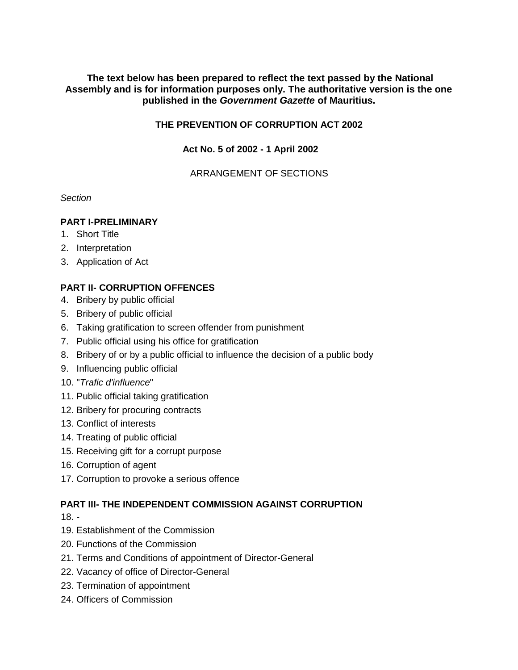# **The text below has been prepared to reflect the text passed by the National Assembly and is for information purposes only. The authoritative version is the one published in the** *Government Gazette* **of Mauritius.**

# **THE PREVENTION OF CORRUPTION ACT 2002**

# **Act No. 5 of 2002 - 1 April 2002**

# ARRANGEMENT OF SECTIONS

# *Section*

# **PART I-PRELIMINARY**

- 1. Short Title
- 2. Interpretation
- 3. Application of Act

# **PART II- CORRUPTION OFFENCES**

- 4. Bribery by public official
- 5. Bribery of public official
- 6. Taking gratification to screen offender from punishment
- 7. Public official using his office for gratification
- 8. Bribery of or by a public official to influence the decision of a public body
- 9. Influencing public official
- 10. "*Trafic d'influence*"
- 11. Public official taking gratification
- 12. Bribery for procuring contracts
- 13. Conflict of interests
- 14. Treating of public official
- 15. Receiving gift for a corrupt purpose
- 16. Corruption of agent
- 17. Corruption to provoke a serious offence

# **PART III- THE INDEPENDENT COMMISSION AGAINST CORRUPTION**

- 18. -
- 19. Establishment of the Commission
- 20. Functions of the Commission
- 21. Terms and Conditions of appointment of Director-General
- 22. Vacancy of office of Director-General
- 23. Termination of appointment
- 24. Officers of Commission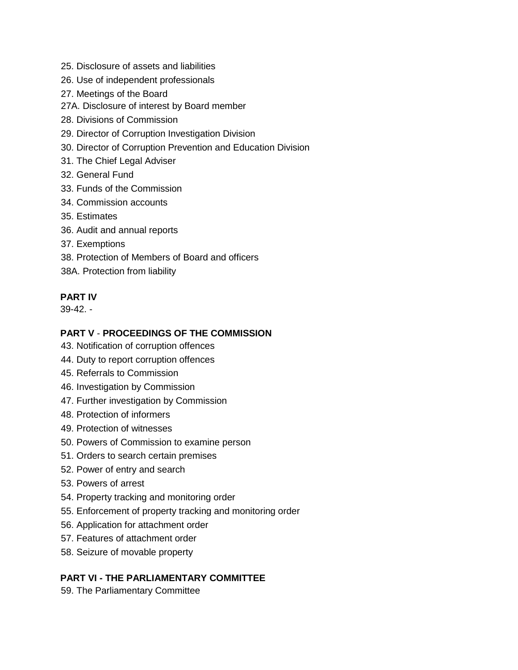- 25. Disclosure of assets and liabilities
- 26. Use of independent professionals
- 27. Meetings of the Board
- 27A. Disclosure of interest by Board member
- 28. Divisions of Commission
- 29. Director of Corruption Investigation Division
- 30. Director of Corruption Prevention and Education Division
- 31. The Chief Legal Adviser
- 32. General Fund
- 33. Funds of the Commission
- 34. Commission accounts
- 35. Estimates
- 36. Audit and annual reports
- 37. Exemptions
- 38. Protection of Members of Board and officers
- 38A. Protection from liability

# **PART IV**

39-42. -

# **PART V** - **PROCEEDINGS OF THE COMMISSION**

- 43. Notification of corruption offences
- 44. Duty to report corruption offences
- 45. Referrals to Commission
- 46. Investigation by Commission
- 47. Further investigation by Commission
- 48. Protection of informers
- 49. Protection of witnesses
- 50. Powers of Commission to examine person
- 51. Orders to search certain premises
- 52. Power of entry and search
- 53. Powers of arrest
- 54. Property tracking and monitoring order
- 55. Enforcement of property tracking and monitoring order
- 56. Application for attachment order
- 57. Features of attachment order
- 58. Seizure of movable property

# **PART VI - THE PARLIAMENTARY COMMITTEE**

59. The Parliamentary Committee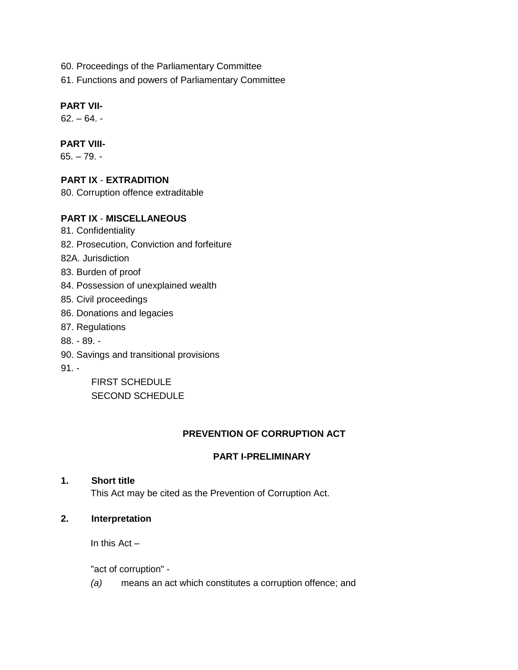- 60. Proceedings of the Parliamentary Committee
- 61. Functions and powers of Parliamentary Committee

# **PART VII-**

 $62. - 64. -$ 

# **PART VIII-**

65. – 79. -

# **PART IX** - **EXTRADITION**

80. Corruption offence extraditable

# **PART IX** - **MISCELLANEOUS**

- 81. Confidentiality
- 82. Prosecution, Conviction and forfeiture

82A. Jurisdiction

- 83. Burden of proof
- 84. Possession of unexplained wealth
- 85. Civil proceedings
- 86. Donations and legacies
- 87. Regulations
- 88. 89. -
- 90. Savings and transitional provisions
- 91. -

FIRST SCHEDULE SECOND SCHEDULE

# **PREVENTION OF CORRUPTION ACT**

# **PART I-PRELIMINARY**

#### **1. Short title**

This Act may be cited as the Prevention of Corruption Act.

**2. Interpretation** 

In this  $Act -$ 

"act of corruption" -

*(a)* means an act which constitutes a corruption offence; and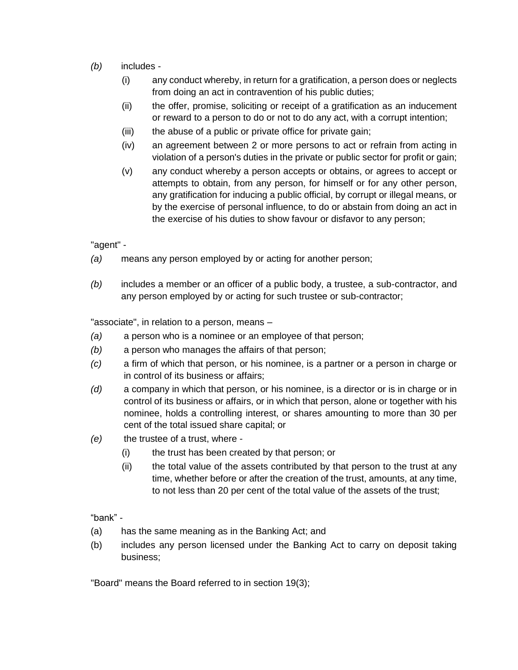- *(b)* includes
	- (i) any conduct whereby, in return for a gratification, a person does or neglects from doing an act in contravention of his public duties;
	- (ii) the offer, promise, soliciting or receipt of a gratification as an inducement or reward to a person to do or not to do any act, with a corrupt intention;
	- (iii) the abuse of a public or private office for private gain;
	- (iv) an agreement between 2 or more persons to act or refrain from acting in violation of a person's duties in the private or public sector for profit or gain;
	- (v) any conduct whereby a person accepts or obtains, or agrees to accept or attempts to obtain, from any person, for himself or for any other person, any gratification for inducing a public official, by corrupt or illegal means, or by the exercise of personal influence, to do or abstain from doing an act in the exercise of his duties to show favour or disfavor to any person;

"agent" -

- *(a)* means any person employed by or acting for another person;
- *(b)* includes a member or an officer of a public body, a trustee, a sub-contractor, and any person employed by or acting for such trustee or sub-contractor;

"associate", in relation to a person, means –

- *(a)* a person who is a nominee or an employee of that person;
- *(b)* a person who manages the affairs of that person;
- *(c)* a firm of which that person, or his nominee, is a partner or a person in charge or in control of its business or affairs;
- *(d)* a company in which that person, or his nominee, is a director or is in charge or in control of its business or affairs, or in which that person, alone or together with his nominee, holds a controlling interest, or shares amounting to more than 30 per cent of the total issued share capital; or
- *(e)* the trustee of a trust, where
	- (i) the trust has been created by that person; or
	- (ii) the total value of the assets contributed by that person to the trust at any time, whether before or after the creation of the trust, amounts, at any time, to not less than 20 per cent of the total value of the assets of the trust;

"bank" -

- (a) has the same meaning as in the Banking Act; and
- (b) includes any person licensed under the Banking Act to carry on deposit taking business;

"Board" means the Board referred to in section 19(3);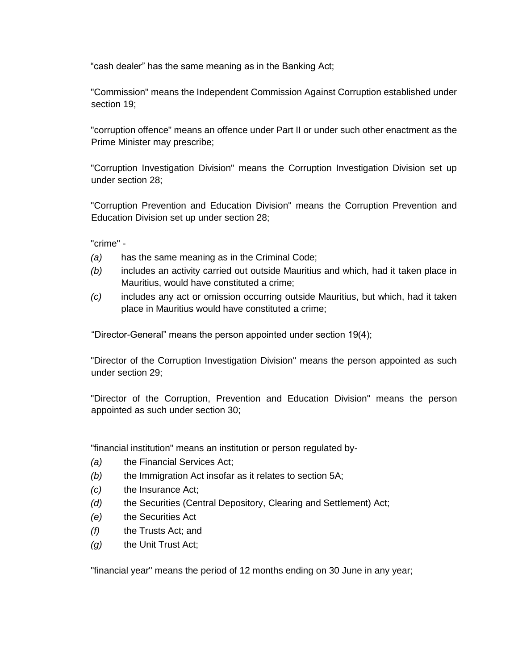"cash dealer" has the same meaning as in the Banking Act;

"Commission" means the Independent Commission Against Corruption established under section 19;

"corruption offence" means an offence under Part II or under such other enactment as the Prime Minister may prescribe;

"Corruption Investigation Division" means the Corruption Investigation Division set up under section 28;

"Corruption Prevention and Education Division" means the Corruption Prevention and Education Division set up under section 28;

"crime" -

- *(a)* has the same meaning as in the Criminal Code;
- *(b)* includes an activity carried out outside Mauritius and which, had it taken place in Mauritius, would have constituted a crime;
- *(c)* includes any act or omission occurring outside Mauritius, but which, had it taken place in Mauritius would have constituted a crime;

"Director-General" means the person appointed under section 19(4);

"Director of the Corruption Investigation Division" means the person appointed as such under section 29;

"Director of the Corruption, Prevention and Education Division" means the person appointed as such under section 30;

"financial institution" means an institution or person regulated by-

- *(a)* the Financial Services Act;
- *(b)* the Immigration Act insofar as it relates to section 5A;
- *(c)* the Insurance Act;
- *(d)* the Securities (Central Depository, Clearing and Settlement) Act;
- *(e)* the Securities Act
- *(f)* the Trusts Act; and
- *(g)* the Unit Trust Act;

"financial year" means the period of 12 months ending on 30 June in any year;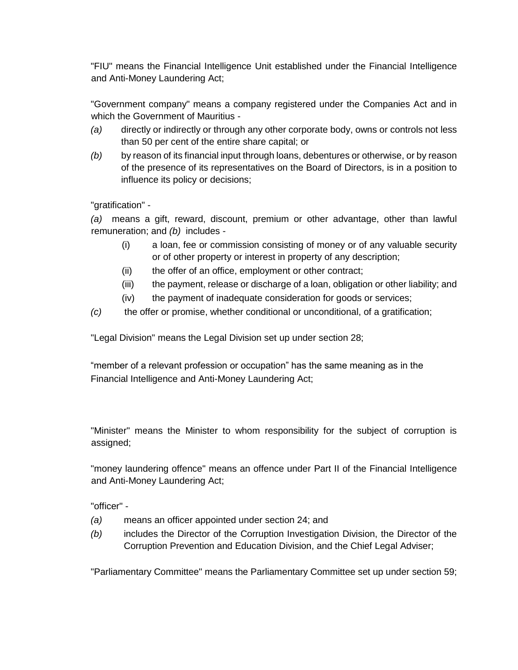"FIU" means the Financial Intelligence Unit established under the Financial Intelligence and Anti-Money Laundering Act;

"Government company" means a company registered under the Companies Act and in which the Government of Mauritius -

- *(a)* directly or indirectly or through any other corporate body, owns or controls not less than 50 per cent of the entire share capital; or
- *(b)* by reason of its financial input through loans, debentures or otherwise, or by reason of the presence of its representatives on the Board of Directors, is in a position to influence its policy or decisions;

"gratification" -

*(a)* means a gift, reward, discount, premium or other advantage, other than lawful remuneration; and *(b)* includes -

- (i) a loan, fee or commission consisting of money or of any valuable security or of other property or interest in property of any description;
- (ii) the offer of an office, employment or other contract;
- (iii) the payment, release or discharge of a loan, obligation or other liability; and
- (iv) the payment of inadequate consideration for goods or services;
- *(c)* the offer or promise, whether conditional or unconditional, of a gratification;

"Legal Division" means the Legal Division set up under section 28;

"member of a relevant profession or occupation" has the same meaning as in the Financial Intelligence and Anti-Money Laundering Act;

"Minister" means the Minister to whom responsibility for the subject of corruption is assigned;

"money laundering offence" means an offence under Part II of the Financial Intelligence and Anti-Money Laundering Act;

"officer" -

- *(a)* means an officer appointed under section 24; and
- *(b)* includes the Director of the Corruption Investigation Division, the Director of the Corruption Prevention and Education Division, and the Chief Legal Adviser;

"Parliamentary Committee" means the Parliamentary Committee set up under section 59;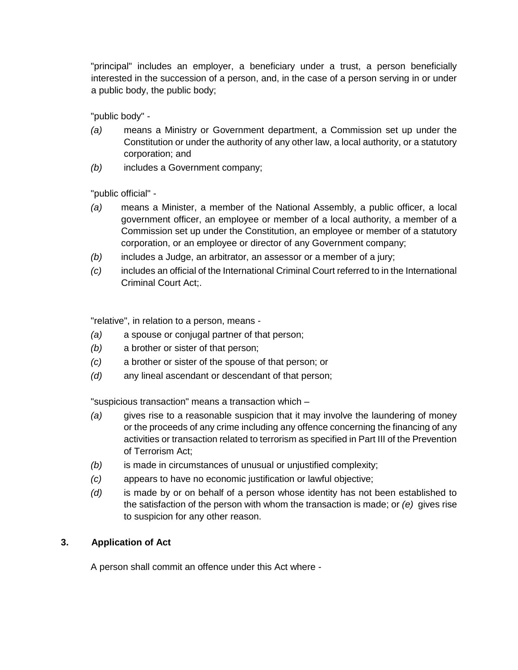"principal" includes an employer, a beneficiary under a trust, a person beneficially interested in the succession of a person, and, in the case of a person serving in or under a public body, the public body;

"public body" -

- *(a)* means a Ministry or Government department, a Commission set up under the Constitution or under the authority of any other law, a local authority, or a statutory corporation; and
- *(b)* includes a Government company;

"public official" -

- *(a)* means a Minister, a member of the National Assembly, a public officer, a local government officer, an employee or member of a local authority, a member of a Commission set up under the Constitution, an employee or member of a statutory corporation, or an employee or director of any Government company;
- *(b)* includes a Judge, an arbitrator, an assessor or a member of a jury;
- *(c)* includes an official of the International Criminal Court referred to in the International Criminal Court Act;.

"relative", in relation to a person, means -

- *(a)* a spouse or conjugal partner of that person;
- *(b)* a brother or sister of that person;
- *(c)* a brother or sister of the spouse of that person; or
- *(d)* any lineal ascendant or descendant of that person;

"suspicious transaction" means a transaction which –

- *(a)* gives rise to a reasonable suspicion that it may involve the laundering of money or the proceeds of any crime including any offence concerning the financing of any activities or transaction related to terrorism as specified in Part III of the Prevention of Terrorism Act;
- *(b)* is made in circumstances of unusual or unjustified complexity;
- *(c)* appears to have no economic justification or lawful objective;
- *(d)* is made by or on behalf of a person whose identity has not been established to the satisfaction of the person with whom the transaction is made; or *(e)* gives rise to suspicion for any other reason.

# **3. Application of Act**

A person shall commit an offence under this Act where -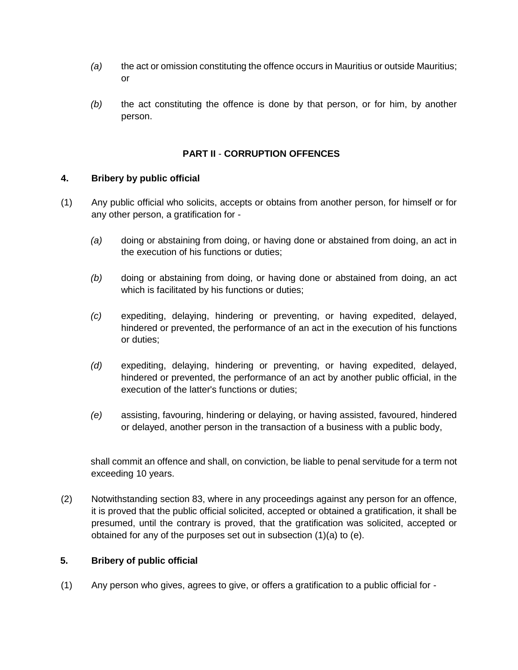- *(a)* the act or omission constituting the offence occurs in Mauritius or outside Mauritius; or
- *(b)* the act constituting the offence is done by that person, or for him, by another person.

# **PART II** - **CORRUPTION OFFENCES**

# **4. Bribery by public official**

- (1) Any public official who solicits, accepts or obtains from another person, for himself or for any other person, a gratification for -
	- *(a)* doing or abstaining from doing, or having done or abstained from doing, an act in the execution of his functions or duties;
	- *(b)* doing or abstaining from doing, or having done or abstained from doing, an act which is facilitated by his functions or duties;
	- *(c)* expediting, delaying, hindering or preventing, or having expedited, delayed, hindered or prevented, the performance of an act in the execution of his functions or duties;
	- *(d)* expediting, delaying, hindering or preventing, or having expedited, delayed, hindered or prevented, the performance of an act by another public official, in the execution of the latter's functions or duties;
	- *(e)* assisting, favouring, hindering or delaying, or having assisted, favoured, hindered or delayed, another person in the transaction of a business with a public body,

shall commit an offence and shall, on conviction, be liable to penal servitude for a term not exceeding 10 years.

(2) Notwithstanding section 83, where in any proceedings against any person for an offence, it is proved that the public official solicited, accepted or obtained a gratification, it shall be presumed, until the contrary is proved, that the gratification was solicited, accepted or obtained for any of the purposes set out in subsection (1)(a) to (e).

# **5. Bribery of public official**

(1) Any person who gives, agrees to give, or offers a gratification to a public official for -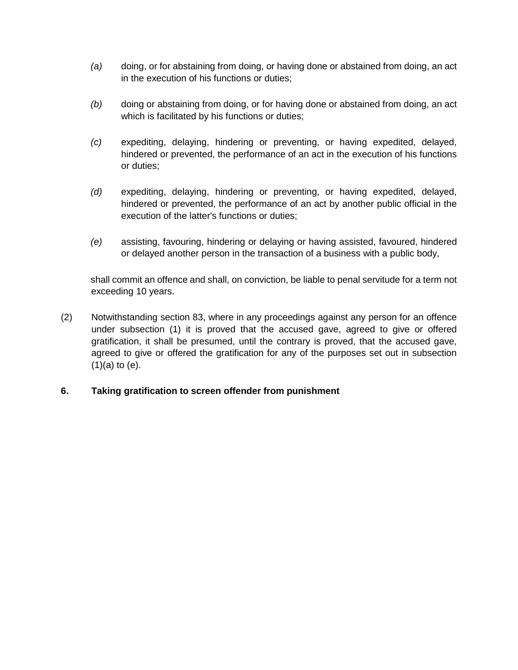- *(a)* doing, or for abstaining from doing, or having done or abstained from doing, an act in the execution of his functions or duties;
- *(b)* doing or abstaining from doing, or for having done or abstained from doing, an act which is facilitated by his functions or duties;
- *(c)* expediting, delaying, hindering or preventing, or having expedited, delayed, hindered or prevented, the performance of an act in the execution of his functions or duties;
- *(d)* expediting, delaying, hindering or preventing, or having expedited, delayed, hindered or prevented, the performance of an act by another public official in the execution of the latter's functions or duties;
- *(e)* assisting, favouring, hindering or delaying or having assisted, favoured, hindered or delayed another person in the transaction of a business with a public body,

shall commit an offence and shall, on conviction, be liable to penal servitude for a term not exceeding 10 years.

(2) Notwithstanding section 83, where in any proceedings against any person for an offence under subsection (1) it is proved that the accused gave, agreed to give or offered gratification, it shall be presumed, until the contrary is proved, that the accused gave, agreed to give or offered the gratification for any of the purposes set out in subsection (1)(a) to (e).

# **6. Taking gratification to screen offender from punishment**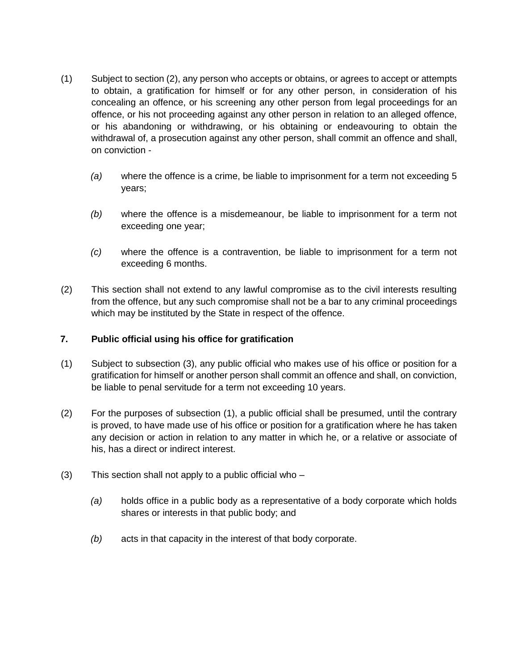- (1) Subject to section (2), any person who accepts or obtains, or agrees to accept or attempts to obtain, a gratification for himself or for any other person, in consideration of his concealing an offence, or his screening any other person from legal proceedings for an offence, or his not proceeding against any other person in relation to an alleged offence, or his abandoning or withdrawing, or his obtaining or endeavouring to obtain the withdrawal of, a prosecution against any other person, shall commit an offence and shall, on conviction -
	- *(a)* where the offence is a crime, be liable to imprisonment for a term not exceeding 5 years;
	- *(b)* where the offence is a misdemeanour, be liable to imprisonment for a term not exceeding one year;
	- *(c)* where the offence is a contravention, be liable to imprisonment for a term not exceeding 6 months.
- (2) This section shall not extend to any lawful compromise as to the civil interests resulting from the offence, but any such compromise shall not be a bar to any criminal proceedings which may be instituted by the State in respect of the offence.

# **7. Public official using his office for gratification**

- (1) Subject to subsection (3), any public official who makes use of his office or position for a gratification for himself or another person shall commit an offence and shall, on conviction, be liable to penal servitude for a term not exceeding 10 years.
- (2) For the purposes of subsection (1), a public official shall be presumed, until the contrary is proved, to have made use of his office or position for a gratification where he has taken any decision or action in relation to any matter in which he, or a relative or associate of his, has a direct or indirect interest.
- (3) This section shall not apply to a public official who
	- *(a)* holds office in a public body as a representative of a body corporate which holds shares or interests in that public body; and
	- *(b)* acts in that capacity in the interest of that body corporate.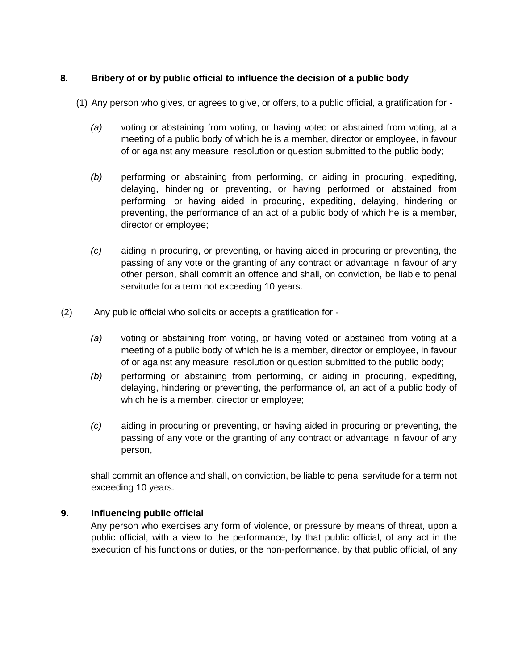# **8. Bribery of or by public official to influence the decision of a public body**

- (1) Any person who gives, or agrees to give, or offers, to a public official, a gratification for
	- *(a)* voting or abstaining from voting, or having voted or abstained from voting, at a meeting of a public body of which he is a member, director or employee, in favour of or against any measure, resolution or question submitted to the public body;
	- *(b)* performing or abstaining from performing, or aiding in procuring, expediting, delaying, hindering or preventing, or having performed or abstained from performing, or having aided in procuring, expediting, delaying, hindering or preventing, the performance of an act of a public body of which he is a member, director or employee;
	- *(c)* aiding in procuring, or preventing, or having aided in procuring or preventing, the passing of any vote or the granting of any contract or advantage in favour of any other person, shall commit an offence and shall, on conviction, be liable to penal servitude for a term not exceeding 10 years.
- (2) Any public official who solicits or accepts a gratification for
	- *(a)* voting or abstaining from voting, or having voted or abstained from voting at a meeting of a public body of which he is a member, director or employee, in favour of or against any measure, resolution or question submitted to the public body;
	- *(b)* performing or abstaining from performing, or aiding in procuring, expediting, delaying, hindering or preventing, the performance of, an act of a public body of which he is a member, director or employee;
	- *(c)* aiding in procuring or preventing, or having aided in procuring or preventing, the passing of any vote or the granting of any contract or advantage in favour of any person,

shall commit an offence and shall, on conviction, be liable to penal servitude for a term not exceeding 10 years.

# **9. Influencing public official**

Any person who exercises any form of violence, or pressure by means of threat, upon a public official, with a view to the performance, by that public official, of any act in the execution of his functions or duties, or the non-performance, by that public official, of any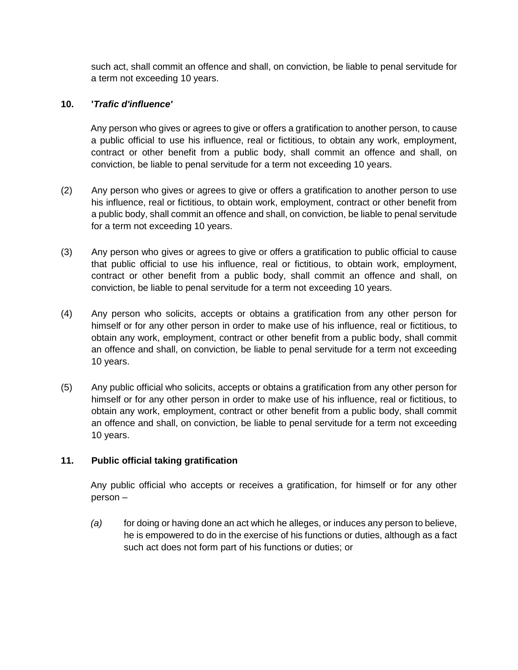such act, shall commit an offence and shall, on conviction, be liable to penal servitude for a term not exceeding 10 years.

# **10. '***Trafic d'influence'*

Any person who gives or agrees to give or offers a gratification to another person, to cause a public official to use his influence, real or fictitious, to obtain any work, employment, contract or other benefit from a public body, shall commit an offence and shall, on conviction, be liable to penal servitude for a term not exceeding 10 years.

- (2) Any person who gives or agrees to give or offers a gratification to another person to use his influence, real or fictitious, to obtain work, employment, contract or other benefit from a public body, shall commit an offence and shall, on conviction, be liable to penal servitude for a term not exceeding 10 years.
- (3) Any person who gives or agrees to give or offers a gratification to public official to cause that public official to use his influence, real or fictitious, to obtain work, employment, contract or other benefit from a public body, shall commit an offence and shall, on conviction, be liable to penal servitude for a term not exceeding 10 years.
- (4) Any person who solicits, accepts or obtains a gratification from any other person for himself or for any other person in order to make use of his influence, real or fictitious, to obtain any work, employment, contract or other benefit from a public body, shall commit an offence and shall, on conviction, be liable to penal servitude for a term not exceeding 10 years.
- (5) Any public official who solicits, accepts or obtains a gratification from any other person for himself or for any other person in order to make use of his influence, real or fictitious, to obtain any work, employment, contract or other benefit from a public body, shall commit an offence and shall, on conviction, be liable to penal servitude for a term not exceeding 10 years.

# **11. Public official taking gratification**

Any public official who accepts or receives a gratification, for himself or for any other person –

*(a)* for doing or having done an act which he alleges, or induces any person to believe, he is empowered to do in the exercise of his functions or duties, although as a fact such act does not form part of his functions or duties; or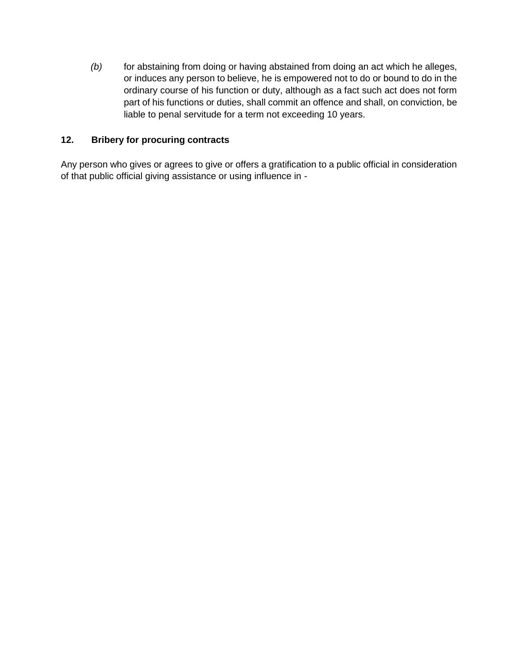*(b)* for abstaining from doing or having abstained from doing an act which he alleges, or induces any person to believe, he is empowered not to do or bound to do in the ordinary course of his function or duty, although as a fact such act does not form part of his functions or duties, shall commit an offence and shall, on conviction, be liable to penal servitude for a term not exceeding 10 years.

# **12. Bribery for procuring contracts**

Any person who gives or agrees to give or offers a gratification to a public official in consideration of that public official giving assistance or using influence in -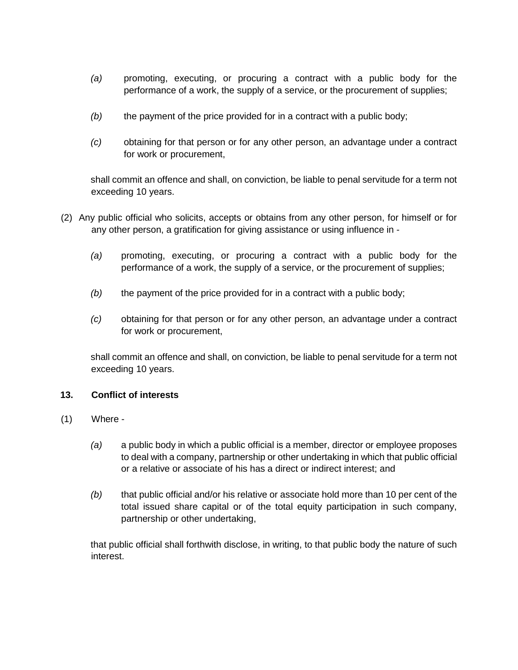- *(a)* promoting, executing, or procuring a contract with a public body for the performance of a work, the supply of a service, or the procurement of supplies;
- *(b)* the payment of the price provided for in a contract with a public body;
- *(c)* obtaining for that person or for any other person, an advantage under a contract for work or procurement,

shall commit an offence and shall, on conviction, be liable to penal servitude for a term not exceeding 10 years.

- (2) Any public official who solicits, accepts or obtains from any other person, for himself or for any other person, a gratification for giving assistance or using influence in -
	- *(a)* promoting, executing, or procuring a contract with a public body for the performance of a work, the supply of a service, or the procurement of supplies;
	- *(b)* the payment of the price provided for in a contract with a public body;
	- *(c)* obtaining for that person or for any other person, an advantage under a contract for work or procurement,

shall commit an offence and shall, on conviction, be liable to penal servitude for a term not exceeding 10 years.

# **13. Conflict of interests**

- (1) Where
	- *(a)* a public body in which a public official is a member, director or employee proposes to deal with a company, partnership or other undertaking in which that public official or a relative or associate of his has a direct or indirect interest; and
	- *(b)* that public official and/or his relative or associate hold more than 10 per cent of the total issued share capital or of the total equity participation in such company, partnership or other undertaking,

that public official shall forthwith disclose, in writing, to that public body the nature of such interest.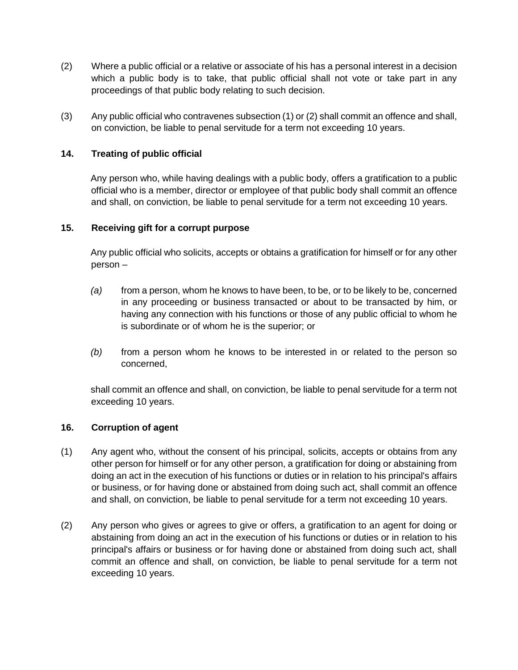- (2) Where a public official or a relative or associate of his has a personal interest in a decision which a public body is to take, that public official shall not vote or take part in any proceedings of that public body relating to such decision.
- (3) Any public official who contravenes subsection (1) or (2) shall commit an offence and shall, on conviction, be liable to penal servitude for a term not exceeding 10 years.

# **14. Treating of public official**

Any person who, while having dealings with a public body, offers a gratification to a public official who is a member, director or employee of that public body shall commit an offence and shall, on conviction, be liable to penal servitude for a term not exceeding 10 years.

# **15. Receiving gift for a corrupt purpose**

Any public official who solicits, accepts or obtains a gratification for himself or for any other person –

- *(a)* from a person, whom he knows to have been, to be, or to be likely to be, concerned in any proceeding or business transacted or about to be transacted by him, or having any connection with his functions or those of any public official to whom he is subordinate or of whom he is the superior; or
- *(b)* from a person whom he knows to be interested in or related to the person so concerned,

shall commit an offence and shall, on conviction, be liable to penal servitude for a term not exceeding 10 years.

# **16. Corruption of agent**

- (1) Any agent who, without the consent of his principal, solicits, accepts or obtains from any other person for himself or for any other person, a gratification for doing or abstaining from doing an act in the execution of his functions or duties or in relation to his principal's affairs or business, or for having done or abstained from doing such act, shall commit an offence and shall, on conviction, be liable to penal servitude for a term not exceeding 10 years.
- (2) Any person who gives or agrees to give or offers, a gratification to an agent for doing or abstaining from doing an act in the execution of his functions or duties or in relation to his principal's affairs or business or for having done or abstained from doing such act, shall commit an offence and shall, on conviction, be liable to penal servitude for a term not exceeding 10 years.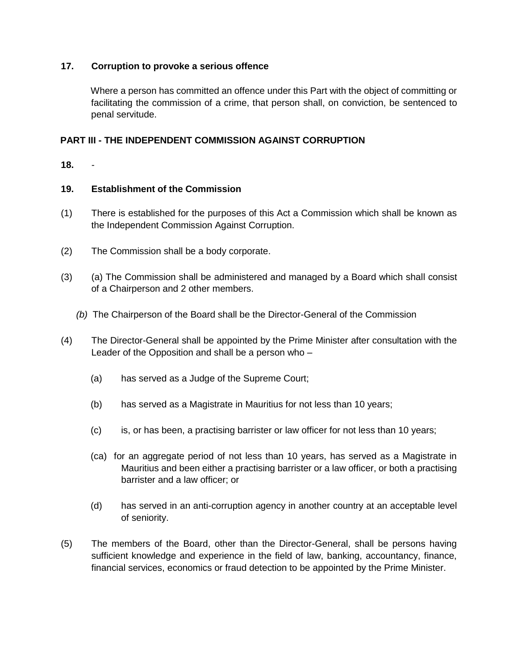# **17. Corruption to provoke a serious offence**

Where a person has committed an offence under this Part with the object of committing or facilitating the commission of a crime, that person shall, on conviction, be sentenced to penal servitude.

# **PART III - THE INDEPENDENT COMMISSION AGAINST CORRUPTION**

**18.** *-*

# **19. Establishment of the Commission**

- (1) There is established for the purposes of this Act a Commission which shall be known as the Independent Commission Against Corruption.
- (2) The Commission shall be a body corporate.
- (3) (a) The Commission shall be administered and managed by a Board which shall consist of a Chairperson and 2 other members.
	- *(b)* The Chairperson of the Board shall be the Director-General of the Commission
- (4) The Director-General shall be appointed by the Prime Minister after consultation with the Leader of the Opposition and shall be a person who –
	- (a) has served as a Judge of the Supreme Court;
	- (b) has served as a Magistrate in Mauritius for not less than 10 years;
	- (c) is, or has been, a practising barrister or law officer for not less than 10 years;
	- (ca) for an aggregate period of not less than 10 years, has served as a Magistrate in Mauritius and been either a practising barrister or a law officer, or both a practising barrister and a law officer; or
	- (d) has served in an anti-corruption agency in another country at an acceptable level of seniority.
- (5) The members of the Board, other than the Director-General, shall be persons having sufficient knowledge and experience in the field of law, banking, accountancy, finance, financial services, economics or fraud detection to be appointed by the Prime Minister.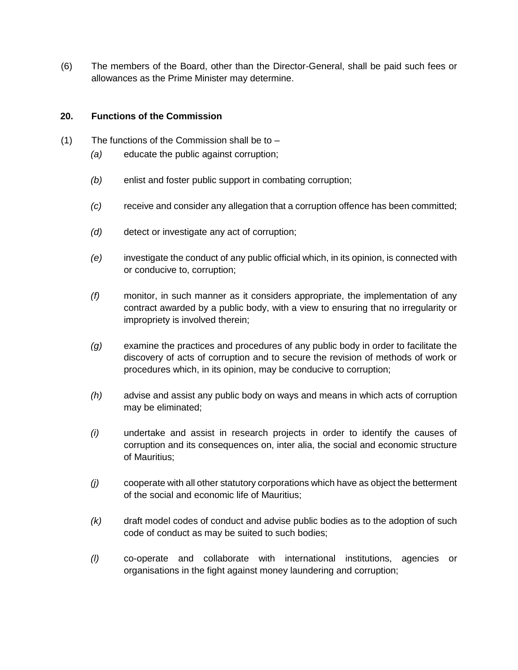(6) The members of the Board, other than the Director-General, shall be paid such fees or allowances as the Prime Minister may determine.

# **20. Functions of the Commission**

- (1) The functions of the Commission shall be to
	- *(a)* educate the public against corruption;
	- *(b)* enlist and foster public support in combating corruption;
	- *(c)* receive and consider any allegation that a corruption offence has been committed;
	- *(d)* detect or investigate any act of corruption;
	- *(e)* investigate the conduct of any public official which, in its opinion, is connected with or conducive to, corruption;
	- *(f)* monitor, in such manner as it considers appropriate, the implementation of any contract awarded by a public body, with a view to ensuring that no irregularity or impropriety is involved therein;
	- *(g)* examine the practices and procedures of any public body in order to facilitate the discovery of acts of corruption and to secure the revision of methods of work or procedures which, in its opinion, may be conducive to corruption;
	- *(h)* advise and assist any public body on ways and means in which acts of corruption may be eliminated;
	- *(i)* undertake and assist in research projects in order to identify the causes of corruption and its consequences on, inter alia, the social and economic structure of Mauritius;
	- *(j)* cooperate with all other statutory corporations which have as object the betterment of the social and economic life of Mauritius;
	- *(k)* draft model codes of conduct and advise public bodies as to the adoption of such code of conduct as may be suited to such bodies;
	- *(l)* co-operate and collaborate with international institutions, agencies or organisations in the fight against money laundering and corruption;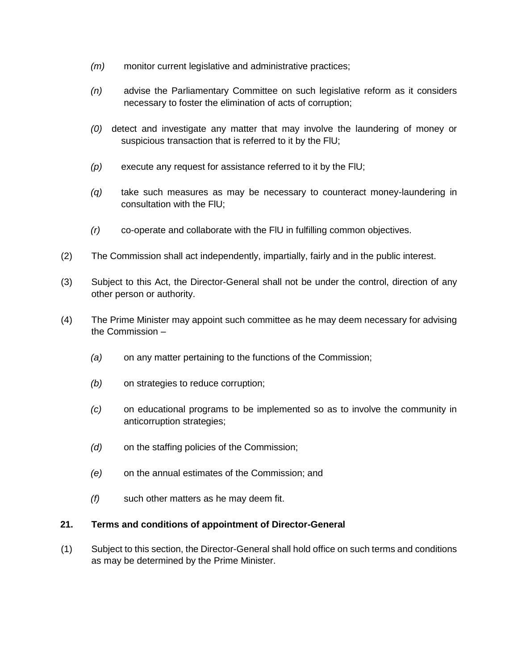- *(m)* monitor current legislative and administrative practices;
- *(n)* advise the Parliamentary Committee on such legislative reform as it considers necessary to foster the elimination of acts of corruption;
- *(0)* detect and investigate any matter that may involve the laundering of money or suspicious transaction that is referred to it by the FlU;
- *(p)* execute any request for assistance referred to it by the FlU;
- *(q)* take such measures as may be necessary to counteract money-laundering in consultation with the FlU;
- *(r)* co-operate and collaborate with the FlU in fulfilling common objectives.
- (2) The Commission shall act independently, impartially, fairly and in the public interest.
- (3) Subject to this Act, the Director-General shall not be under the control, direction of any other person or authority.
- (4) The Prime Minister may appoint such committee as he may deem necessary for advising the Commission –
	- *(a)* on any matter pertaining to the functions of the Commission;
	- *(b)* on strategies to reduce corruption;
	- *(c)* on educational programs to be implemented so as to involve the community in anticorruption strategies;
	- *(d)* on the staffing policies of the Commission;
	- *(e)* on the annual estimates of the Commission; and
	- *(f)* such other matters as he may deem fit.

#### **21. Terms and conditions of appointment of Director-General**

(1) Subject to this section, the Director-General shall hold office on such terms and conditions as may be determined by the Prime Minister.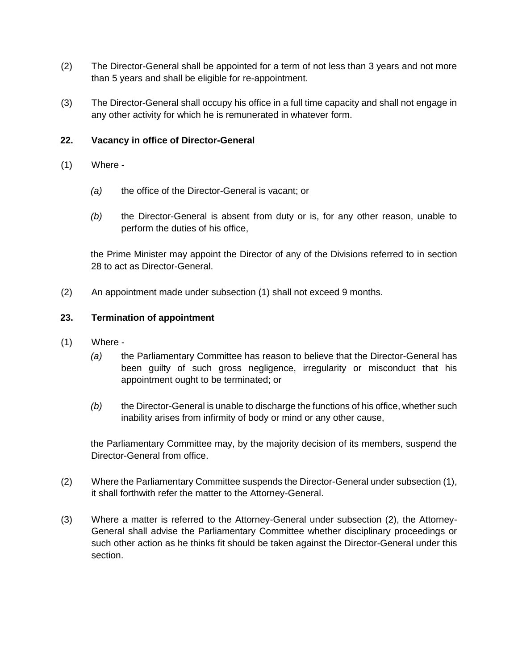- (2) The Director-General shall be appointed for a term of not less than 3 years and not more than 5 years and shall be eligible for re-appointment.
- (3) The Director-General shall occupy his office in a full time capacity and shall not engage in any other activity for which he is remunerated in whatever form.

# **22. Vacancy in office of Director-General**

- (1) Where
	- *(a)* the office of the Director-General is vacant; or
	- *(b)* the Director-General is absent from duty or is, for any other reason, unable to perform the duties of his office,

the Prime Minister may appoint the Director of any of the Divisions referred to in section 28 to act as Director-General.

(2) An appointment made under subsection (1) shall not exceed 9 months.

# **23. Termination of appointment**

- (1) Where
	- *(a)* the Parliamentary Committee has reason to believe that the Director-General has been guilty of such gross negligence, irregularity or misconduct that his appointment ought to be terminated; or
	- *(b)* the Director-General is unable to discharge the functions of his office, whether such inability arises from infirmity of body or mind or any other cause,

the Parliamentary Committee may, by the majority decision of its members, suspend the Director-General from office.

- (2) Where the Parliamentary Committee suspends the Director-General under subsection (1), it shall forthwith refer the matter to the Attorney-General.
- (3) Where a matter is referred to the Attorney-General under subsection (2), the Attorney-General shall advise the Parliamentary Committee whether disciplinary proceedings or such other action as he thinks fit should be taken against the Director-General under this section.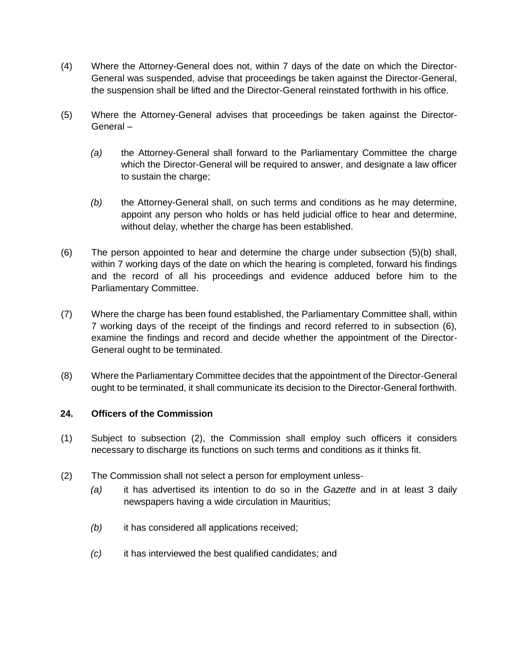- (4) Where the Attorney-General does not, within 7 days of the date on which the Director-General was suspended, advise that proceedings be taken against the Director-General, the suspension shall be lifted and the Director-General reinstated forthwith in his office.
- (5) Where the Attorney-General advises that proceedings be taken against the Director-General –
	- *(a)* the Attorney-General shall forward to the Parliamentary Committee the charge which the Director-General will be required to answer, and designate a law officer to sustain the charge;
	- *(b)* the Attorney-General shall, on such terms and conditions as he may determine, appoint any person who holds or has held judicial office to hear and determine, without delay, whether the charge has been established.
- (6) The person appointed to hear and determine the charge under subsection (5)(b) shall, within 7 working days of the date on which the hearing is completed, forward his findings and the record of all his proceedings and evidence adduced before him to the Parliamentary Committee.
- (7) Where the charge has been found established, the Parliamentary Committee shall, within 7 working days of the receipt of the findings and record referred to in subsection (6), examine the findings and record and decide whether the appointment of the Director-General ought to be terminated.
- (8) Where the Parliamentary Committee decides that the appointment of the Director-General ought to be terminated, it shall communicate its decision to the Director-General forthwith.

# **24. Officers of the Commission**

- (1) Subject to subsection (2), the Commission shall employ such officers it considers necessary to discharge its functions on such terms and conditions as it thinks fit.
- (2) The Commission shall not select a person for employment unless-
	- *(a)* it has advertised its intention to do so in the *Gazette* and in at least 3 daily newspapers having a wide circulation in Mauritius;
	- *(b)* it has considered all applications received;
	- *(c)* it has interviewed the best qualified candidates; and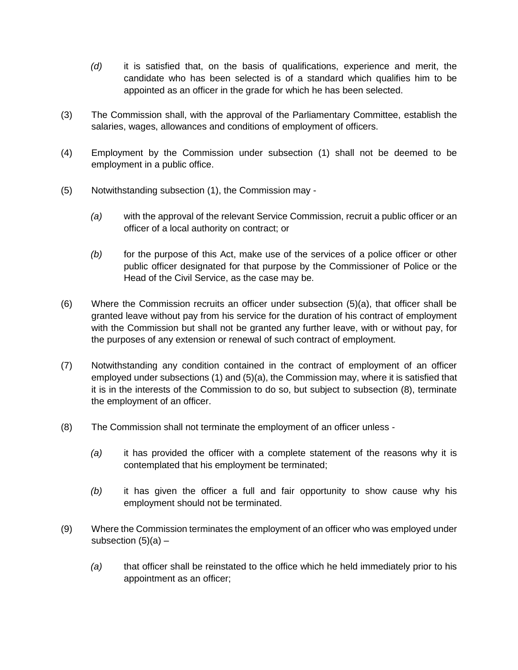- *(d)* it is satisfied that, on the basis of qualifications, experience and merit, the candidate who has been selected is of a standard which qualifies him to be appointed as an officer in the grade for which he has been selected.
- (3) The Commission shall, with the approval of the Parliamentary Committee, establish the salaries, wages, allowances and conditions of employment of officers.
- (4) Employment by the Commission under subsection (1) shall not be deemed to be employment in a public office.
- (5) Notwithstanding subsection (1), the Commission may
	- *(a)* with the approval of the relevant Service Commission, recruit a public officer or an officer of a local authority on contract; or
	- *(b)* for the purpose of this Act, make use of the services of a police officer or other public officer designated for that purpose by the Commissioner of Police or the Head of the Civil Service, as the case may be.
- (6) Where the Commission recruits an officer under subsection (5)(a), that officer shall be granted leave without pay from his service for the duration of his contract of employment with the Commission but shall not be granted any further leave, with or without pay, for the purposes of any extension or renewal of such contract of employment.
- (7) Notwithstanding any condition contained in the contract of employment of an officer employed under subsections (1) and (5)(a), the Commission may, where it is satisfied that it is in the interests of the Commission to do so, but subject to subsection (8), terminate the employment of an officer.
- (8) The Commission shall not terminate the employment of an officer unless
	- *(a)* it has provided the officer with a complete statement of the reasons why it is contemplated that his employment be terminated;
	- *(b)* it has given the officer a full and fair opportunity to show cause why his employment should not be terminated.
- (9) Where the Commission terminates the employment of an officer who was employed under subsection  $(5)(a)$  –
	- *(a)* that officer shall be reinstated to the office which he held immediately prior to his appointment as an officer;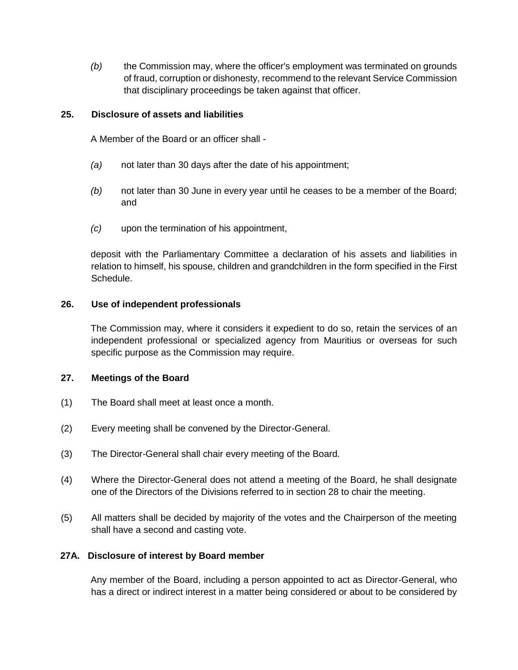*(b)* the Commission may, where the officer's employment was terminated on grounds of fraud, corruption or dishonesty, recommend to the relevant Service Commission that disciplinary proceedings be taken against that officer.

# **25. Disclosure of assets and liabilities**

A Member of the Board or an officer shall -

- *(a)* not later than 30 days after the date of his appointment;
- *(b)* not later than 30 June in every year until he ceases to be a member of the Board; and
- *(c)* upon the termination of his appointment,

deposit with the Parliamentary Committee a declaration of his assets and liabilities in relation to himself, his spouse, children and grandchildren in the form specified in the First Schedule.

#### **26. Use of independent professionals**

The Commission may, where it considers it expedient to do so, retain the services of an independent professional or specialized agency from Mauritius or overseas for such specific purpose as the Commission may require.

#### **27. Meetings of the Board**

- (1) The Board shall meet at least once a month.
- (2) Every meeting shall be convened by the Director-General.
- (3) The Director-General shall chair every meeting of the Board.
- (4) Where the Director-General does not attend a meeting of the Board, he shall designate one of the Directors of the Divisions referred to in section 28 to chair the meeting.
- (5) All matters shall be decided by majority of the votes and the Chairperson of the meeting shall have a second and casting vote.

# **27A. Disclosure of interest by Board member**

Any member of the Board, including a person appointed to act as Director-General, who has a direct or indirect interest in a matter being considered or about to be considered by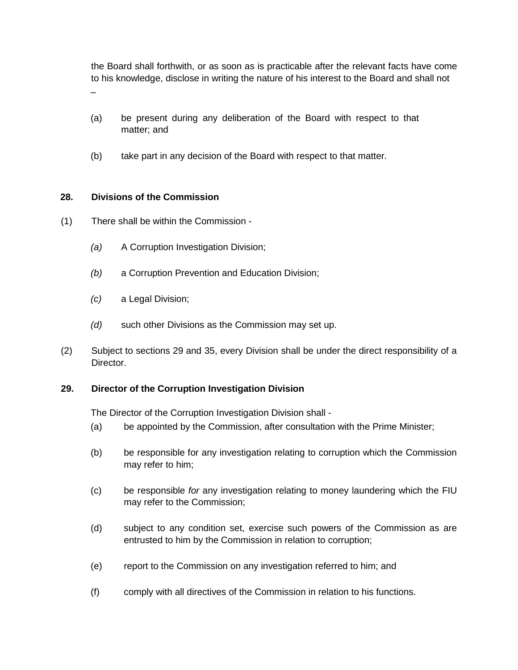the Board shall forthwith, or as soon as is practicable after the relevant facts have come to his knowledge, disclose in writing the nature of his interest to the Board and shall not –

- (a) be present during any deliberation of the Board with respect to that matter; and
- (b) take part in any decision of the Board with respect to that matter.

# **28. Divisions of the Commission**

- (1) There shall be within the Commission
	- *(a)* A Corruption Investigation Division;
	- *(b)* a Corruption Prevention and Education Division;
	- *(c)* a Legal Division;
	- *(d)* such other Divisions as the Commission may set up.
- (2) Subject to sections 29 and 35, every Division shall be under the direct responsibility of a Director.

# **29. Director of the Corruption Investigation Division**

The Director of the Corruption Investigation Division shall -

- (a) be appointed by the Commission, after consultation with the Prime Minister;
- (b) be responsible for any investigation relating to corruption which the Commission may refer to him;
- (c) be responsible *for* any investigation relating to money laundering which the FIU may refer to the Commission;
- (d) subject to any condition set, exercise such powers of the Commission as are entrusted to him by the Commission in relation to corruption;
- (e) report to the Commission on any investigation referred to him; and
- (f) comply with all directives of the Commission in relation to his functions.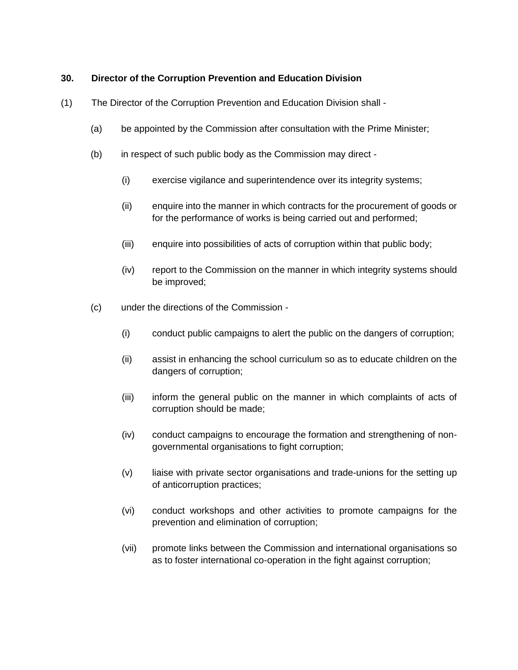# **30. Director of the Corruption Prevention and Education Division**

- (1) The Director of the Corruption Prevention and Education Division shall
	- (a) be appointed by the Commission after consultation with the Prime Minister;
	- (b) in respect of such public body as the Commission may direct
		- (i) exercise vigilance and superintendence over its integrity systems;
		- (ii) enquire into the manner in which contracts for the procurement of goods or for the performance of works is being carried out and performed;
		- (iii) enquire into possibilities of acts of corruption within that public body;
		- (iv) report to the Commission on the manner in which integrity systems should be improved;
	- (c) under the directions of the Commission
		- (i) conduct public campaigns to alert the public on the dangers of corruption;
		- (ii) assist in enhancing the school curriculum so as to educate children on the dangers of corruption;
		- (iii) inform the general public on the manner in which complaints of acts of corruption should be made;
		- (iv) conduct campaigns to encourage the formation and strengthening of nongovernmental organisations to fight corruption;
		- (v) liaise with private sector organisations and trade-unions for the setting up of anticorruption practices;
		- (vi) conduct workshops and other activities to promote campaigns for the prevention and elimination of corruption;
		- (vii) promote links between the Commission and international organisations so as to foster international co-operation in the fight against corruption;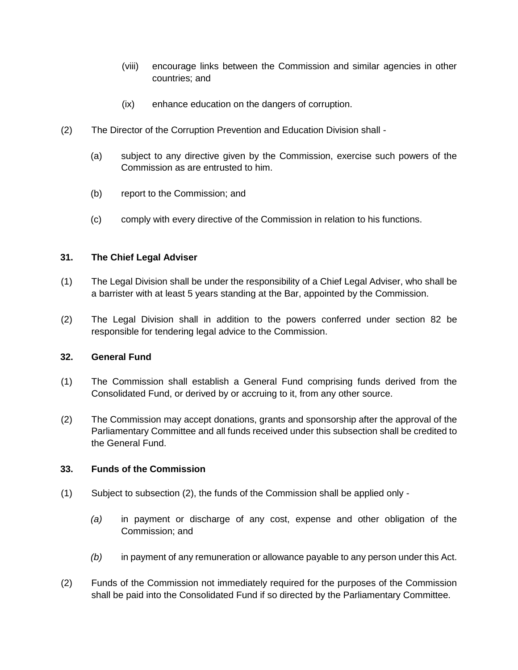- (viii) encourage links between the Commission and similar agencies in other countries; and
- (ix) enhance education on the dangers of corruption.
- (2) The Director of the Corruption Prevention and Education Division shall
	- (a) subject to any directive given by the Commission, exercise such powers of the Commission as are entrusted to him.
	- (b) report to the Commission; and
	- (c) comply with every directive of the Commission in relation to his functions.

#### **31. The Chief Legal Adviser**

- (1) The Legal Division shall be under the responsibility of a Chief Legal Adviser, who shall be a barrister with at least 5 years standing at the Bar, appointed by the Commission.
- (2) The Legal Division shall in addition to the powers conferred under section 82 be responsible for tendering legal advice to the Commission.

#### **32. General Fund**

- (1) The Commission shall establish a General Fund comprising funds derived from the Consolidated Fund, or derived by or accruing to it, from any other source.
- (2) The Commission may accept donations, grants and sponsorship after the approval of the Parliamentary Committee and all funds received under this subsection shall be credited to the General Fund.

#### **33. Funds of the Commission**

- (1) Subject to subsection (2), the funds of the Commission shall be applied only
	- *(a)* in payment or discharge of any cost, expense and other obligation of the Commission; and
	- *(b)* in payment of any remuneration or allowance payable to any person under this Act.
- (2) Funds of the Commission not immediately required for the purposes of the Commission shall be paid into the Consolidated Fund if so directed by the Parliamentary Committee.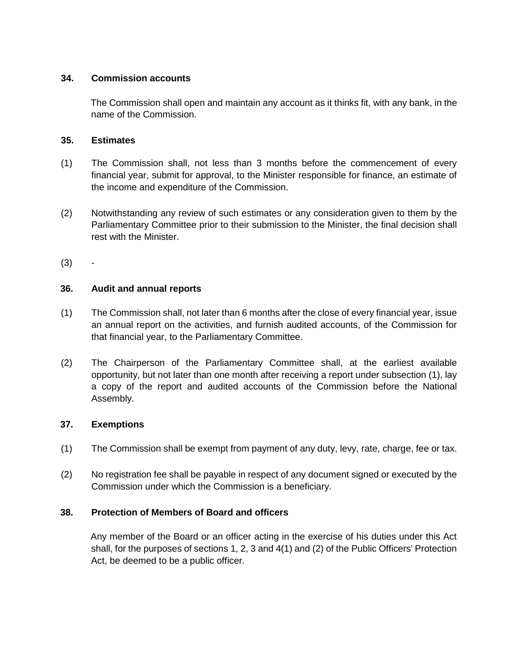# **34. Commission accounts**

The Commission shall open and maintain any account as it thinks fit, with any bank, in the name of the Commission.

# **35. Estimates**

- (1) The Commission shall, not less than 3 months before the commencement of every financial year, submit for approval, to the Minister responsible for finance, an estimate of the income and expenditure of the Commission.
- (2) Notwithstanding any review of such estimates or any consideration given to them by the Parliamentary Committee prior to their submission to the Minister, the final decision shall rest with the Minister.
- $(3)$

# **36. Audit and annual reports**

- (1) The Commission shall, not later than 6 months after the close of every financial year, issue an annual report on the activities, and furnish audited accounts, of the Commission for that financial year, to the Parliamentary Committee.
- (2) The Chairperson of the Parliamentary Committee shall, at the earliest available opportunity, but not later than one month after receiving a report under subsection (1), lay a copy of the report and audited accounts of the Commission before the National Assembly.

# **37. Exemptions**

- (1) The Commission shall be exempt from payment of any duty, levy, rate, charge, fee or tax.
- (2) No registration fee shall be payable in respect of any document signed or executed by the Commission under which the Commission is a beneficiary.

# **38. Protection of Members of Board and officers**

Any member of the Board or an officer acting in the exercise of his duties under this Act shall, for the purposes of sections 1, 2, 3 and 4(1) and (2) of the Public Officers' Protection Act, be deemed to be a public officer.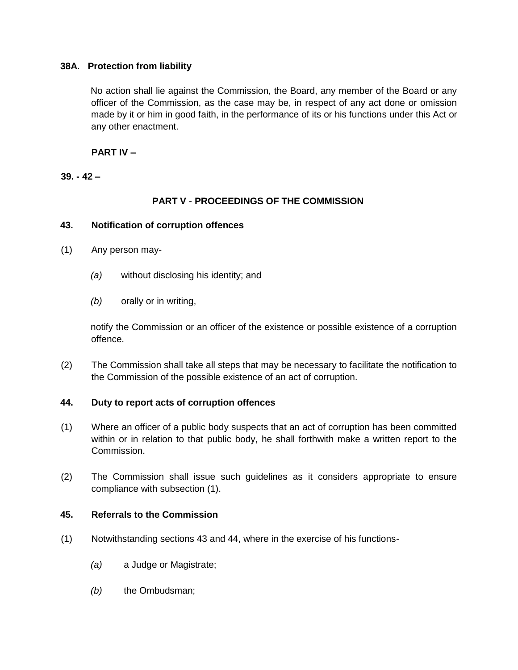# **38A. Protection from liability**

No action shall lie against the Commission, the Board, any member of the Board or any officer of the Commission, as the case may be, in respect of any act done or omission made by it or him in good faith, in the performance of its or his functions under this Act or any other enactment.

# **PART IV –**

# **39. - 42 –**

# **PART V** - **PROCEEDINGS OF THE COMMISSION**

# **43. Notification of corruption offences**

- (1) Any person may-
	- *(a)* without disclosing his identity; and
	- *(b)* orally or in writing,

notify the Commission or an officer of the existence or possible existence of a corruption offence.

(2) The Commission shall take all steps that may be necessary to facilitate the notification to the Commission of the possible existence of an act of corruption.

# **44. Duty to report acts of corruption offences**

- (1) Where an officer of a public body suspects that an act of corruption has been committed within or in relation to that public body, he shall forthwith make a written report to the Commission.
- (2) The Commission shall issue such guidelines as it considers appropriate to ensure compliance with subsection (1).

# **45. Referrals to the Commission**

- (1) Notwithstanding sections 43 and 44, where in the exercise of his functions-
	- *(a)* a Judge or Magistrate;
	- *(b)* the Ombudsman;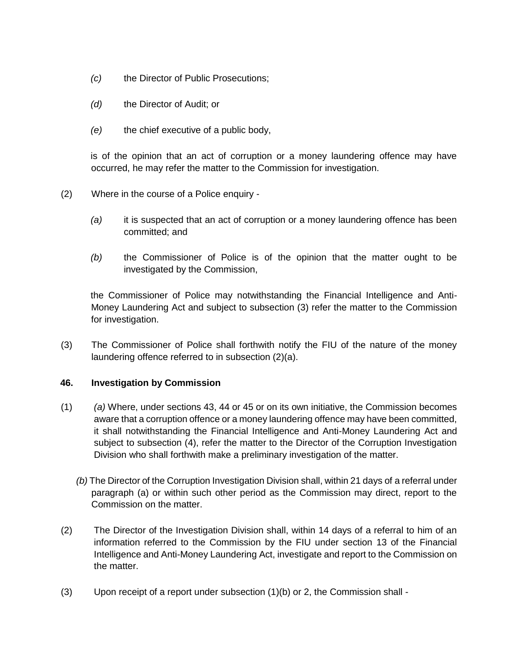- *(c)* the Director of Public Prosecutions;
- *(d)* the Director of Audit; or
- *(e)* the chief executive of a public body,

is of the opinion that an act of corruption or a money laundering offence may have occurred, he may refer the matter to the Commission for investigation.

- (2) Where in the course of a Police enquiry
	- *(a)* it is suspected that an act of corruption or a money laundering offence has been committed; and
	- *(b)* the Commissioner of Police is of the opinion that the matter ought to be investigated by the Commission,

the Commissioner of Police may notwithstanding the Financial Intelligence and Anti-Money Laundering Act and subject to subsection (3) refer the matter to the Commission for investigation.

(3) The Commissioner of Police shall forthwith notify the FIU of the nature of the money laundering offence referred to in subsection (2)(a).

# **46. Investigation by Commission**

- (1) *(a)* Where, under sections 43, 44 or 45 or on its own initiative, the Commission becomes aware that a corruption offence or a money laundering offence may have been committed, it shall notwithstanding the Financial Intelligence and Anti-Money Laundering Act and subject to subsection (4), refer the matter to the Director of the Corruption Investigation Division who shall forthwith make a preliminary investigation of the matter.
	- *(b)* The Director of the Corruption Investigation Division shall, within 21 days of a referral under paragraph (a) or within such other period as the Commission may direct, report to the Commission on the matter.
- (2) The Director of the Investigation Division shall, within 14 days of a referral to him of an information referred to the Commission by the FIU under section 13 of the Financial Intelligence and Anti-Money Laundering Act, investigate and report to the Commission on the matter.
- (3) Upon receipt of a report under subsection (1)(b) or 2, the Commission shall -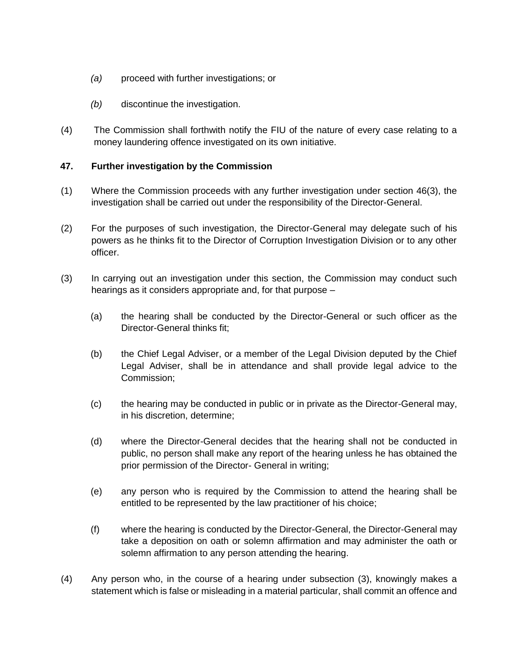- *(a)* proceed with further investigations; or
- *(b)* discontinue the investigation.
- (4) The Commission shall forthwith notify the FIU of the nature of every case relating to a money laundering offence investigated on its own initiative.

# **47. Further investigation by the Commission**

- (1) Where the Commission proceeds with any further investigation under section 46(3), the investigation shall be carried out under the responsibility of the Director-General.
- (2) For the purposes of such investigation, the Director-General may delegate such of his powers as he thinks fit to the Director of Corruption Investigation Division or to any other officer.
- (3) In carrying out an investigation under this section, the Commission may conduct such hearings as it considers appropriate and, for that purpose –
	- (a) the hearing shall be conducted by the Director-General or such officer as the Director-General thinks fit;
	- (b) the Chief Legal Adviser, or a member of the Legal Division deputed by the Chief Legal Adviser, shall be in attendance and shall provide legal advice to the Commission;
	- (c) the hearing may be conducted in public or in private as the Director-General may, in his discretion, determine;
	- (d) where the Director-General decides that the hearing shall not be conducted in public, no person shall make any report of the hearing unless he has obtained the prior permission of the Director- General in writing;
	- (e) any person who is required by the Commission to attend the hearing shall be entitled to be represented by the law practitioner of his choice;
	- (f) where the hearing is conducted by the Director-General, the Director-General may take a deposition on oath or solemn affirmation and may administer the oath or solemn affirmation to any person attending the hearing.
- (4) Any person who, in the course of a hearing under subsection (3), knowingly makes a statement which is false or misleading in a material particular, shall commit an offence and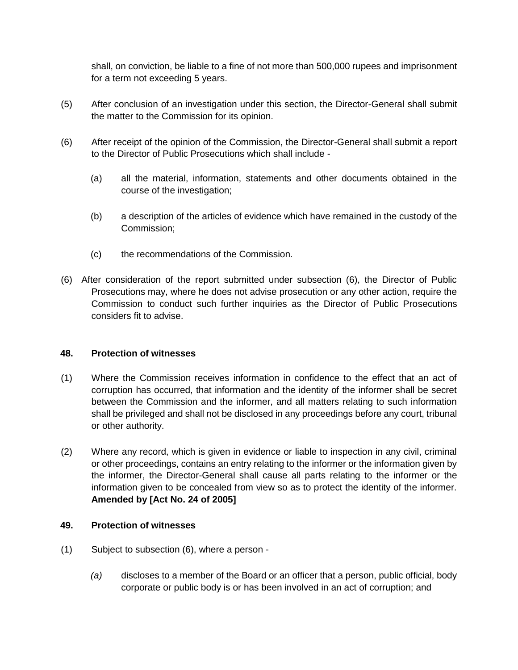shall, on conviction, be liable to a fine of not more than 500,000 rupees and imprisonment for a term not exceeding 5 years.

- (5) After conclusion of an investigation under this section, the Director-General shall submit the matter to the Commission for its opinion.
- (6) After receipt of the opinion of the Commission, the Director-General shall submit a report to the Director of Public Prosecutions which shall include -
	- (a) all the material, information, statements and other documents obtained in the course of the investigation;
	- (b) a description of the articles of evidence which have remained in the custody of the Commission;
	- (c) the recommendations of the Commission.
- (6) After consideration of the report submitted under subsection (6), the Director of Public Prosecutions may, where he does not advise prosecution or any other action, require the Commission to conduct such further inquiries as the Director of Public Prosecutions considers fit to advise.

# **48. Protection of witnesses**

- (1) Where the Commission receives information in confidence to the effect that an act of corruption has occurred, that information and the identity of the informer shall be secret between the Commission and the informer, and all matters relating to such information shall be privileged and shall not be disclosed in any proceedings before any court, tribunal or other authority.
- (2) Where any record, which is given in evidence or liable to inspection in any civil, criminal or other proceedings, contains an entry relating to the informer or the information given by the informer, the Director-General shall cause all parts relating to the informer or the information given to be concealed from view so as to protect the identity of the informer. **Amended by [Act No. 24 of 2005]**

# **49. Protection of witnesses**

- (1) Subject to subsection (6), where a person
	- *(a)* discloses to a member of the Board or an officer that a person, public official, body corporate or public body is or has been involved in an act of corruption; and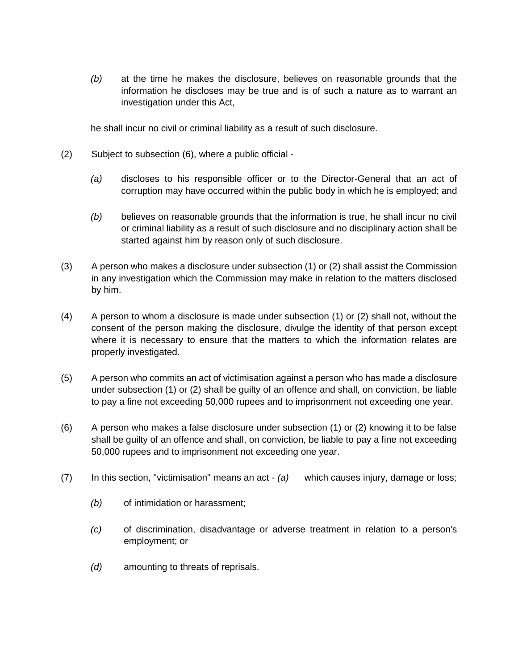*(b)* at the time he makes the disclosure, believes on reasonable grounds that the information he discloses may be true and is of such a nature as to warrant an investigation under this Act,

he shall incur no civil or criminal liability as a result of such disclosure.

- (2) Subject to subsection (6), where a public official
	- *(a)* discloses to his responsible officer or to the Director-General that an act of corruption may have occurred within the public body in which he is employed; and
	- *(b)* believes on reasonable grounds that the information is true, he shall incur no civil or criminal liability as a result of such disclosure and no disciplinary action shall be started against him by reason only of such disclosure.
- (3) A person who makes a disclosure under subsection (1) or (2) shall assist the Commission in any investigation which the Commission may make in relation to the matters disclosed by him.
- (4) A person to whom a disclosure is made under subsection (1) or (2) shall not, without the consent of the person making the disclosure, divulge the identity of that person except where it is necessary to ensure that the matters to which the information relates are properly investigated.
- (5) A person who commits an act of victimisation against a person who has made a disclosure under subsection (1) or (2) shall be guilty of an offence and shall, on conviction, be liable to pay a fine not exceeding 50,000 rupees and to imprisonment not exceeding one year.
- (6) A person who makes a false disclosure under subsection (1) or (2) knowing it to be false shall be guilty of an offence and shall, on conviction, be liable to pay a fine not exceeding 50,000 rupees and to imprisonment not exceeding one year.
- (7) In this section, "victimisation" means an act *(a)* which causes injury, damage or loss;
	- *(b)* of intimidation or harassment;
	- *(c)* of discrimination, disadvantage or adverse treatment in relation to a person's employment; or
	- *(d)* amounting to threats of reprisals.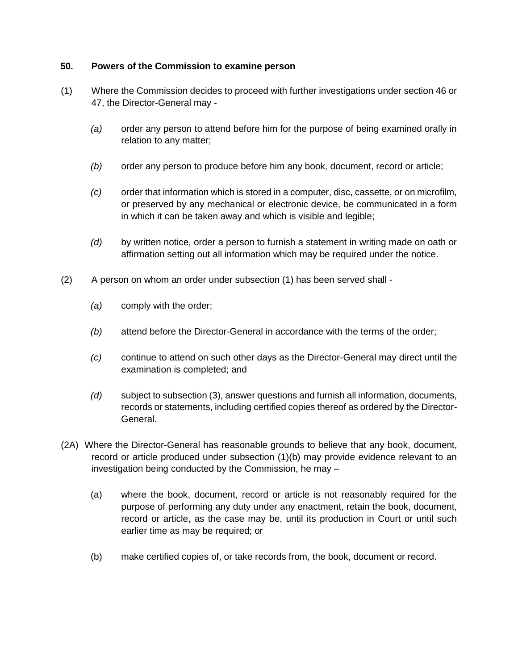# **50. Powers of the Commission to examine person**

- (1) Where the Commission decides to proceed with further investigations under section 46 or 47, the Director-General may -
	- *(a)* order any person to attend before him for the purpose of being examined orally in relation to any matter;
	- *(b)* order any person to produce before him any book, document, record or article;
	- *(c)* order that information which is stored in a computer, disc, cassette, or on microfilm, or preserved by any mechanical or electronic device, be communicated in a form in which it can be taken away and which is visible and legible;
	- *(d)* by written notice, order a person to furnish a statement in writing made on oath or affirmation setting out all information which may be required under the notice.
- (2) A person on whom an order under subsection (1) has been served shall
	- *(a)* comply with the order;
	- *(b)* attend before the Director-General in accordance with the terms of the order;
	- *(c)* continue to attend on such other days as the Director-General may direct until the examination is completed; and
	- *(d)* subject to subsection (3), answer questions and furnish all information, documents, records or statements, including certified copies thereof as ordered by the Director-General.
- (2A) Where the Director-General has reasonable grounds to believe that any book, document, record or article produced under subsection (1)(b) may provide evidence relevant to an investigation being conducted by the Commission, he may –
	- (a) where the book, document, record or article is not reasonably required for the purpose of performing any duty under any enactment, retain the book, document, record or article, as the case may be, until its production in Court or until such earlier time as may be required; or
	- (b) make certified copies of, or take records from, the book, document or record.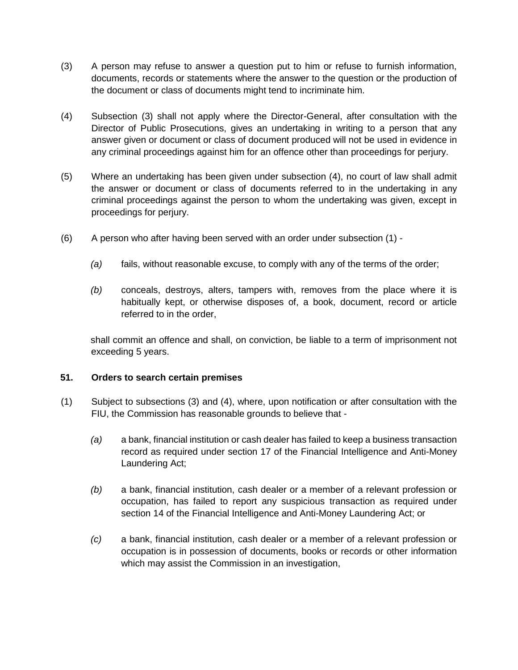- (3) A person may refuse to answer a question put to him or refuse to furnish information, documents, records or statements where the answer to the question or the production of the document or class of documents might tend to incriminate him.
- (4) Subsection (3) shall not apply where the Director-General, after consultation with the Director of Public Prosecutions, gives an undertaking in writing to a person that any answer given or document or class of document produced will not be used in evidence in any criminal proceedings against him for an offence other than proceedings for perjury.
- (5) Where an undertaking has been given under subsection (4), no court of law shall admit the answer or document or class of documents referred to in the undertaking in any criminal proceedings against the person to whom the undertaking was given, except in proceedings for perjury.
- (6) A person who after having been served with an order under subsection (1)
	- *(a)* fails, without reasonable excuse, to comply with any of the terms of the order;
	- *(b)* conceals, destroys, alters, tampers with, removes from the place where it is habitually kept, or otherwise disposes of, a book, document, record or article referred to in the order,

shall commit an offence and shall, on conviction, be liable to a term of imprisonment not exceeding 5 years.

# **51. Orders to search certain premises**

- (1) Subject to subsections (3) and (4), where, upon notification or after consultation with the FIU, the Commission has reasonable grounds to believe that -
	- *(a)* a bank, financial institution or cash dealer has failed to keep a business transaction record as required under section 17 of the Financial Intelligence and Anti-Money Laundering Act;
	- *(b)* a bank, financial institution, cash dealer or a member of a relevant profession or occupation, has failed to report any suspicious transaction as required under section 14 of the Financial Intelligence and Anti-Money Laundering Act; or
	- *(c)* a bank, financial institution, cash dealer or a member of a relevant profession or occupation is in possession of documents, books or records or other information which may assist the Commission in an investigation,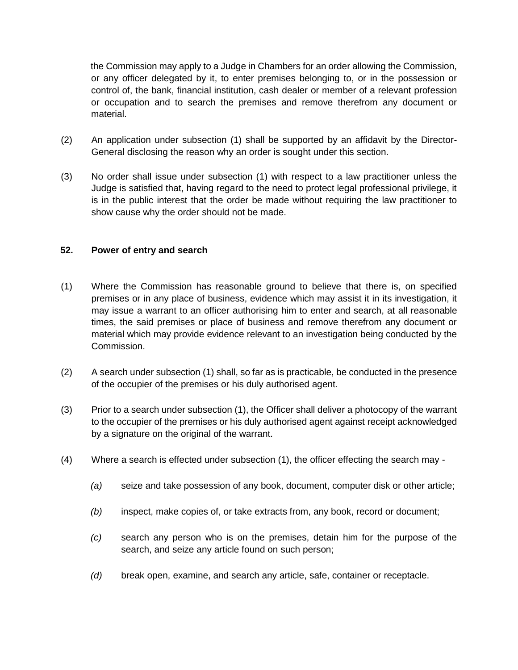the Commission may apply to a Judge in Chambers for an order allowing the Commission, or any officer delegated by it, to enter premises belonging to, or in the possession or control of, the bank, financial institution, cash dealer or member of a relevant profession or occupation and to search the premises and remove therefrom any document or material.

- (2) An application under subsection (1) shall be supported by an affidavit by the Director-General disclosing the reason why an order is sought under this section.
- (3) No order shall issue under subsection (1) with respect to a law practitioner unless the Judge is satisfied that, having regard to the need to protect legal professional privilege, it is in the public interest that the order be made without requiring the law practitioner to show cause why the order should not be made.

#### **52. Power of entry and search**

- (1) Where the Commission has reasonable ground to believe that there is, on specified premises or in any place of business, evidence which may assist it in its investigation, it may issue a warrant to an officer authorising him to enter and search, at all reasonable times, the said premises or place of business and remove therefrom any document or material which may provide evidence relevant to an investigation being conducted by the Commission.
- (2) A search under subsection (1) shall, so far as is practicable, be conducted in the presence of the occupier of the premises or his duly authorised agent.
- (3) Prior to a search under subsection (1), the Officer shall deliver a photocopy of the warrant to the occupier of the premises or his duly authorised agent against receipt acknowledged by a signature on the original of the warrant.
- (4) Where a search is effected under subsection (1), the officer effecting the search may
	- *(a)* seize and take possession of any book, document, computer disk or other article;
	- *(b)* inspect, make copies of, or take extracts from, any book, record or document;
	- *(c)* search any person who is on the premises, detain him for the purpose of the search, and seize any article found on such person;
	- *(d)* break open, examine, and search any article, safe, container or receptacle.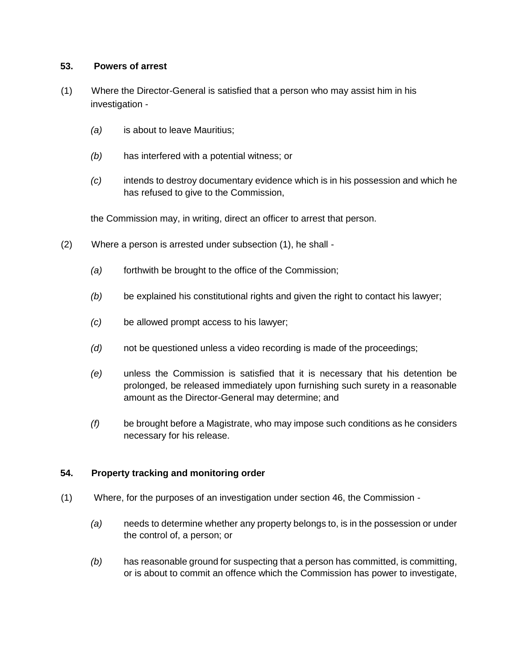# **53. Powers of arrest**

- (1) Where the Director-General is satisfied that a person who may assist him in his investigation -
	- *(a)* is about to leave Mauritius;
	- *(b)* has interfered with a potential witness; or
	- *(c)* intends to destroy documentary evidence which is in his possession and which he has refused to give to the Commission,

the Commission may, in writing, direct an officer to arrest that person.

- (2) Where a person is arrested under subsection (1), he shall
	- *(a)* forthwith be brought to the office of the Commission;
	- *(b)* be explained his constitutional rights and given the right to contact his lawyer;
	- *(c)* be allowed prompt access to his lawyer;
	- *(d)* not be questioned unless a video recording is made of the proceedings;
	- *(e)* unless the Commission is satisfied that it is necessary that his detention be prolonged, be released immediately upon furnishing such surety in a reasonable amount as the Director-General may determine; and
	- *(f)* be brought before a Magistrate, who may impose such conditions as he considers necessary for his release.

# **54. Property tracking and monitoring order**

- (1) Where, for the purposes of an investigation under section 46, the Commission
	- *(a)* needs to determine whether any property belongs to, is in the possession or under the control of, a person; or
	- *(b)* has reasonable ground for suspecting that a person has committed, is committing, or is about to commit an offence which the Commission has power to investigate,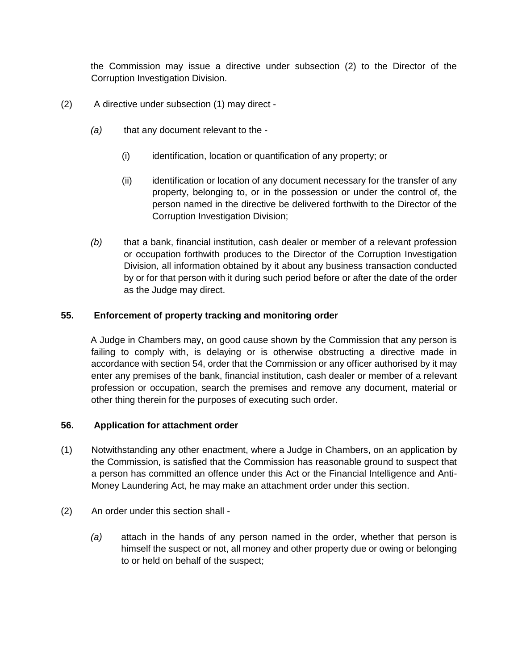the Commission may issue a directive under subsection (2) to the Director of the Corruption Investigation Division.

- (2) A directive under subsection (1) may direct
	- *(a)* that any document relevant to the
		- (i) identification, location or quantification of any property; or
		- (ii) identification or location of any document necessary for the transfer of any property, belonging to, or in the possession or under the control of, the person named in the directive be delivered forthwith to the Director of the Corruption Investigation Division;
	- *(b)* that a bank, financial institution, cash dealer or member of a relevant profession or occupation forthwith produces to the Director of the Corruption Investigation Division, all information obtained by it about any business transaction conducted by or for that person with it during such period before or after the date of the order as the Judge may direct.

# **55. Enforcement of property tracking and monitoring order**

A Judge in Chambers may, on good cause shown by the Commission that any person is failing to comply with, is delaying or is otherwise obstructing a directive made in accordance with section 54, order that the Commission or any officer authorised by it may enter any premises of the bank, financial institution, cash dealer or member of a relevant profession or occupation, search the premises and remove any document, material or other thing therein for the purposes of executing such order.

# **56. Application for attachment order**

- (1) Notwithstanding any other enactment, where a Judge in Chambers, on an application by the Commission, is satisfied that the Commission has reasonable ground to suspect that a person has committed an offence under this Act or the Financial Intelligence and Anti-Money Laundering Act, he may make an attachment order under this section.
- (2) An order under this section shall
	- *(a)* attach in the hands of any person named in the order, whether that person is himself the suspect or not, all money and other property due or owing or belonging to or held on behalf of the suspect;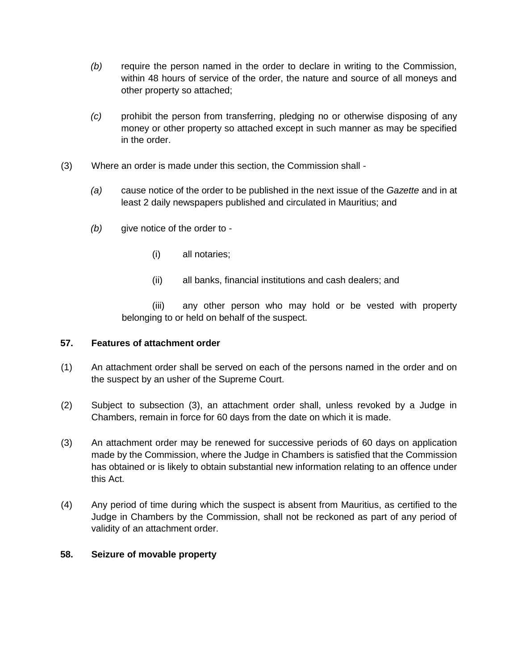- *(b)* require the person named in the order to declare in writing to the Commission, within 48 hours of service of the order, the nature and source of all moneys and other property so attached;
- *(c)* prohibit the person from transferring, pledging no or otherwise disposing of any money or other property so attached except in such manner as may be specified in the order.
- (3) Where an order is made under this section, the Commission shall
	- *(a)* cause notice of the order to be published in the next issue of the *Gazette* and in at least 2 daily newspapers published and circulated in Mauritius; and
	- *(b)* give notice of the order to
		- (i) all notaries;
		- (ii) all banks, financial institutions and cash dealers; and

(iii) any other person who may hold or be vested with property belonging to or held on behalf of the suspect.

# **57. Features of attachment order**

- (1) An attachment order shall be served on each of the persons named in the order and on the suspect by an usher of the Supreme Court.
- (2) Subject to subsection (3), an attachment order shall, unless revoked by a Judge in Chambers, remain in force for 60 days from the date on which it is made.
- (3) An attachment order may be renewed for successive periods of 60 days on application made by the Commission, where the Judge in Chambers is satisfied that the Commission has obtained or is likely to obtain substantial new information relating to an offence under this Act.
- (4) Any period of time during which the suspect is absent from Mauritius, as certified to the Judge in Chambers by the Commission, shall not be reckoned as part of any period of validity of an attachment order.

# **58. Seizure of movable property**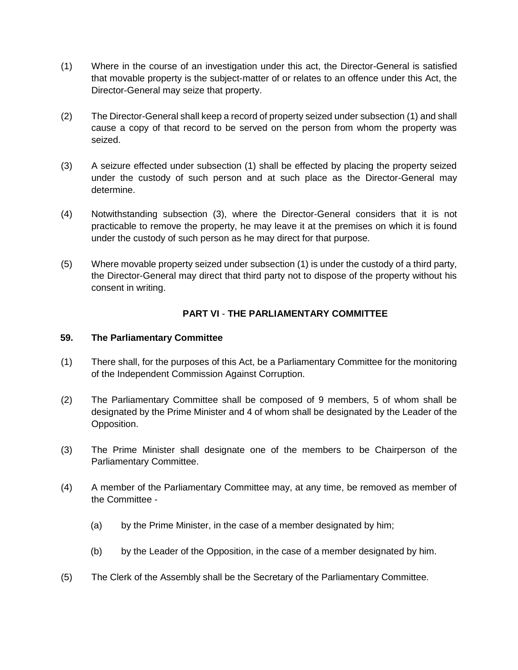- (1) Where in the course of an investigation under this act, the Director-General is satisfied that movable property is the subject-matter of or relates to an offence under this Act, the Director-General may seize that property.
- (2) The Director-General shall keep a record of property seized under subsection (1) and shall cause a copy of that record to be served on the person from whom the property was seized.
- (3) A seizure effected under subsection (1) shall be effected by placing the property seized under the custody of such person and at such place as the Director-General may determine.
- (4) Notwithstanding subsection (3), where the Director-General considers that it is not practicable to remove the property, he may leave it at the premises on which it is found under the custody of such person as he may direct for that purpose.
- (5) Where movable property seized under subsection (1) is under the custody of a third party, the Director-General may direct that third party not to dispose of the property without his consent in writing.

# **PART VI** - **THE PARLIAMENTARY COMMITTEE**

# **59. The Parliamentary Committee**

- (1) There shall, for the purposes of this Act, be a Parliamentary Committee for the monitoring of the Independent Commission Against Corruption.
- (2) The Parliamentary Committee shall be composed of 9 members, 5 of whom shall be designated by the Prime Minister and 4 of whom shall be designated by the Leader of the Opposition.
- (3) The Prime Minister shall designate one of the members to be Chairperson of the Parliamentary Committee.
- (4) A member of the Parliamentary Committee may, at any time, be removed as member of the Committee -
	- (a) by the Prime Minister, in the case of a member designated by him;
	- (b) by the Leader of the Opposition, in the case of a member designated by him.
- (5) The Clerk of the Assembly shall be the Secretary of the Parliamentary Committee.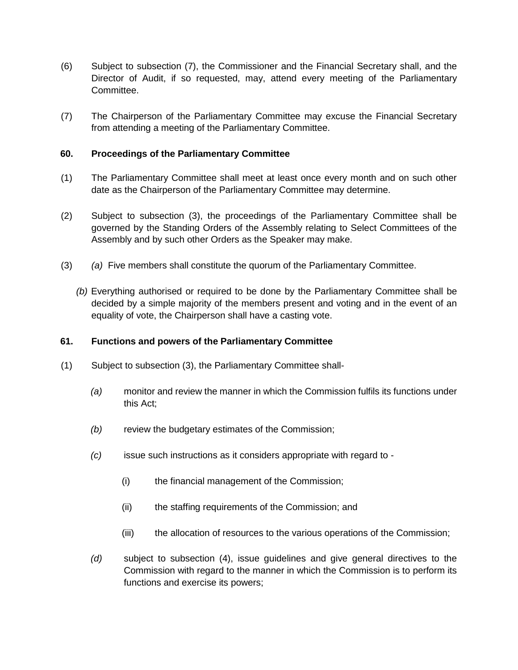- (6) Subject to subsection (7), the Commissioner and the Financial Secretary shall, and the Director of Audit, if so requested, may, attend every meeting of the Parliamentary Committee.
- (7) The Chairperson of the Parliamentary Committee may excuse the Financial Secretary from attending a meeting of the Parliamentary Committee.

# **60. Proceedings of the Parliamentary Committee**

- (1) The Parliamentary Committee shall meet at least once every month and on such other date as the Chairperson of the Parliamentary Committee may determine.
- (2) Subject to subsection (3), the proceedings of the Parliamentary Committee shall be governed by the Standing Orders of the Assembly relating to Select Committees of the Assembly and by such other Orders as the Speaker may make.
- (3) *(a)* Five members shall constitute the quorum of the Parliamentary Committee.
	- *(b)* Everything authorised or required to be done by the Parliamentary Committee shall be decided by a simple majority of the members present and voting and in the event of an equality of vote, the Chairperson shall have a casting vote.

# **61. Functions and powers of the Parliamentary Committee**

- (1) Subject to subsection (3), the Parliamentary Committee shall-
	- *(a)* monitor and review the manner in which the Commission fulfils its functions under this Act;
	- *(b)* review the budgetary estimates of the Commission;
	- *(c)* issue such instructions as it considers appropriate with regard to
		- (i) the financial management of the Commission;
		- (ii) the staffing requirements of the Commission; and
		- (iii) the allocation of resources to the various operations of the Commission;
	- *(d)* subject to subsection (4), issue guidelines and give general directives to the Commission with regard to the manner in which the Commission is to perform its functions and exercise its powers;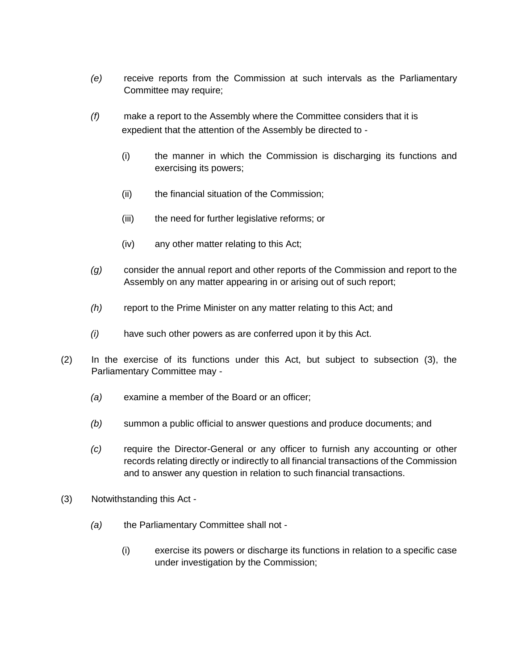- *(e)* receive reports from the Commission at such intervals as the Parliamentary Committee may require;
- *(f)* make a report to the Assembly where the Committee considers that it is expedient that the attention of the Assembly be directed to -
	- (i) the manner in which the Commission is discharging its functions and exercising its powers;
	- (ii) the financial situation of the Commission;
	- (iii) the need for further legislative reforms; or
	- (iv) any other matter relating to this Act;
- *(g)* consider the annual report and other reports of the Commission and report to the Assembly on any matter appearing in or arising out of such report;
- *(h)* report to the Prime Minister on any matter relating to this Act; and
- *(i)* have such other powers as are conferred upon it by this Act.
- (2) In the exercise of its functions under this Act, but subject to subsection (3), the Parliamentary Committee may -
	- *(a)* examine a member of the Board or an officer;
	- *(b)* summon a public official to answer questions and produce documents; and
	- *(c)* require the Director-General or any officer to furnish any accounting or other records relating directly or indirectly to all financial transactions of the Commission and to answer any question in relation to such financial transactions.
- (3) Notwithstanding this Act
	- *(a)* the Parliamentary Committee shall not
		- (i) exercise its powers or discharge its functions in relation to a specific case under investigation by the Commission;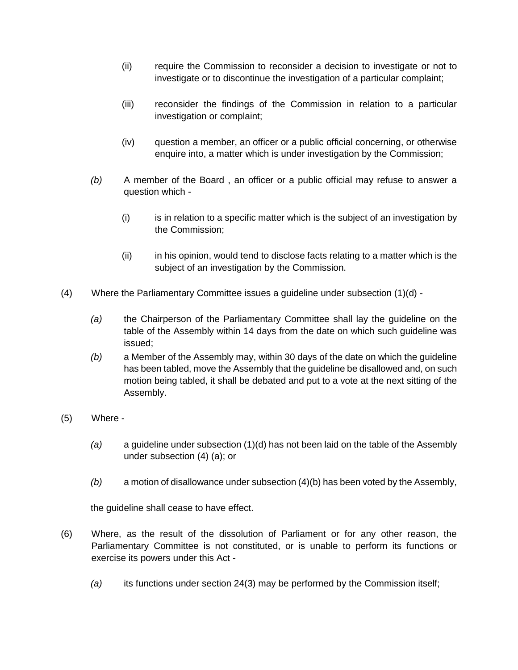- (ii) require the Commission to reconsider a decision to investigate or not to investigate or to discontinue the investigation of a particular complaint;
- (iii) reconsider the findings of the Commission in relation to a particular investigation or complaint;
- (iv) question a member, an officer or a public official concerning, or otherwise enquire into, a matter which is under investigation by the Commission;
- *(b)* A member of the Board , an officer or a public official may refuse to answer a question which -
	- (i) is in relation to a specific matter which is the subject of an investigation by the Commission;
	- (ii) in his opinion, would tend to disclose facts relating to a matter which is the subject of an investigation by the Commission.
- (4) Where the Parliamentary Committee issues a guideline under subsection (1)(d)
	- *(a)* the Chairperson of the Parliamentary Committee shall lay the guideline on the table of the Assembly within 14 days from the date on which such guideline was issued;
	- *(b)* a Member of the Assembly may, within 30 days of the date on which the guideline has been tabled, move the Assembly that the guideline be disallowed and, on such motion being tabled, it shall be debated and put to a vote at the next sitting of the Assembly.
- (5) Where
	- *(a)* a guideline under subsection (1)(d) has not been laid on the table of the Assembly under subsection (4) (a); or
	- *(b)* a motion of disallowance under subsection (4)(b) has been voted by the Assembly,

the guideline shall cease to have effect.

- (6) Where, as the result of the dissolution of Parliament or for any other reason, the Parliamentary Committee is not constituted, or is unable to perform its functions or exercise its powers under this Act -
	- *(a)* its functions under section 24(3) may be performed by the Commission itself;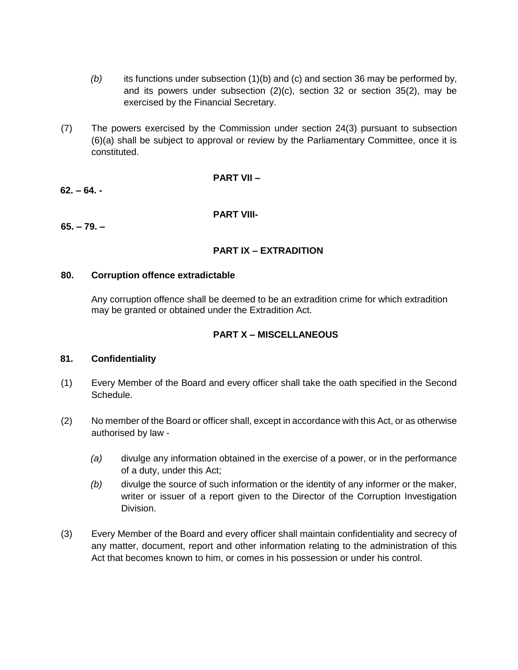- *(b)* its functions under subsection (1)(b) and (c) and section 36 may be performed by, and its powers under subsection (2)(c), section 32 or section 35(2), may be exercised by the Financial Secretary.
- (7) The powers exercised by the Commission under section 24(3) pursuant to subsection (6)(a) shall be subject to approval or review by the Parliamentary Committee, once it is constituted.

#### **PART VII –**

# **62. – 64. -**

**PART VIII-**

**65. – 79. –**

# **PART IX – EXTRADITION**

# **80. Corruption offence extradictable**

Any corruption offence shall be deemed to be an extradition crime for which extradition may be granted or obtained under the Extradition Act.

# **PART X – MISCELLANEOUS**

# **81. Confidentiality**

- (1) Every Member of the Board and every officer shall take the oath specified in the Second Schedule.
- (2) No member of the Board or officer shall, except in accordance with this Act, or as otherwise authorised by law -
	- *(a)* divulge any information obtained in the exercise of a power, or in the performance of a duty, under this Act;
	- *(b)* divulge the source of such information or the identity of any informer or the maker, writer or issuer of a report given to the Director of the Corruption Investigation Division.
- (3) Every Member of the Board and every officer shall maintain confidentiality and secrecy of any matter, document, report and other information relating to the administration of this Act that becomes known to him, or comes in his possession or under his control.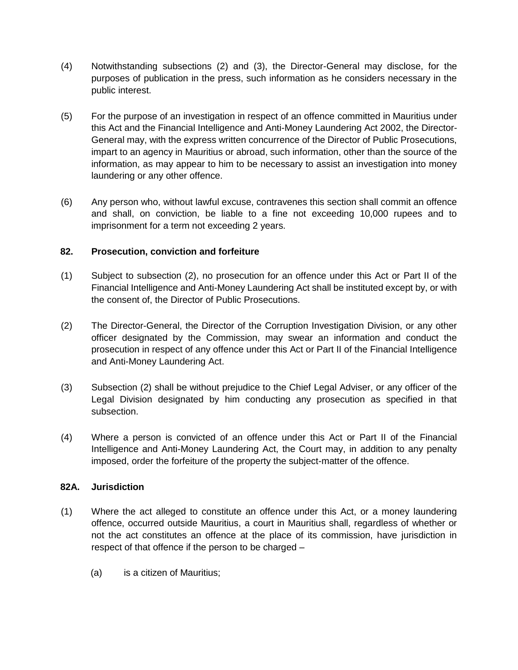- (4) Notwithstanding subsections (2) and (3), the Director-General may disclose, for the purposes of publication in the press, such information as he considers necessary in the public interest.
- (5) For the purpose of an investigation in respect of an offence committed in Mauritius under this Act and the Financial Intelligence and Anti-Money Laundering Act 2002, the Director-General may, with the express written concurrence of the Director of Public Prosecutions, impart to an agency in Mauritius or abroad, such information, other than the source of the information, as may appear to him to be necessary to assist an investigation into money laundering or any other offence.
- (6) Any person who, without lawful excuse, contravenes this section shall commit an offence and shall, on conviction, be liable to a fine not exceeding 10,000 rupees and to imprisonment for a term not exceeding 2 years.

# **82. Prosecution, conviction and forfeiture**

- (1) Subject to subsection (2), no prosecution for an offence under this Act or Part II of the Financial Intelligence and Anti-Money Laundering Act shall be instituted except by, or with the consent of, the Director of Public Prosecutions.
- (2) The Director-General, the Director of the Corruption Investigation Division, or any other officer designated by the Commission, may swear an information and conduct the prosecution in respect of any offence under this Act or Part II of the Financial Intelligence and Anti-Money Laundering Act.
- (3) Subsection (2) shall be without prejudice to the Chief Legal Adviser, or any officer of the Legal Division designated by him conducting any prosecution as specified in that subsection.
- (4) Where a person is convicted of an offence under this Act or Part II of the Financial Intelligence and Anti-Money Laundering Act, the Court may, in addition to any penalty imposed, order the forfeiture of the property the subject-matter of the offence.

# **82A. Jurisdiction**

- (1) Where the act alleged to constitute an offence under this Act, or a money laundering offence, occurred outside Mauritius, a court in Mauritius shall, regardless of whether or not the act constitutes an offence at the place of its commission, have jurisdiction in respect of that offence if the person to be charged –
	- (a) is a citizen of Mauritius;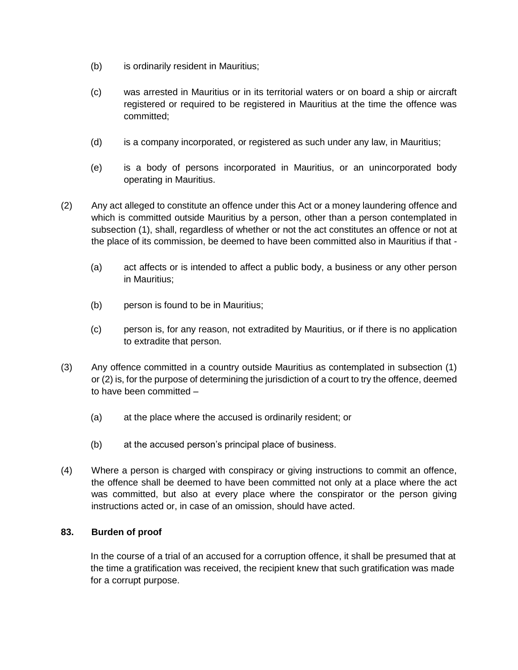- (b) is ordinarily resident in Mauritius;
- (c) was arrested in Mauritius or in its territorial waters or on board a ship or aircraft registered or required to be registered in Mauritius at the time the offence was committed;
- (d) is a company incorporated, or registered as such under any law, in Mauritius;
- (e) is a body of persons incorporated in Mauritius, or an unincorporated body operating in Mauritius.
- (2) Any act alleged to constitute an offence under this Act or a money laundering offence and which is committed outside Mauritius by a person, other than a person contemplated in subsection (1), shall, regardless of whether or not the act constitutes an offence or not at the place of its commission, be deemed to have been committed also in Mauritius if that -
	- (a) act affects or is intended to affect a public body, a business or any other person in Mauritius;
	- (b) person is found to be in Mauritius;
	- (c) person is, for any reason, not extradited by Mauritius, or if there is no application to extradite that person.
- (3) Any offence committed in a country outside Mauritius as contemplated in subsection (1) or (2) is, for the purpose of determining the jurisdiction of a court to try the offence, deemed to have been committed –
	- (a) at the place where the accused is ordinarily resident; or
	- (b) at the accused person's principal place of business.
- (4) Where a person is charged with conspiracy or giving instructions to commit an offence, the offence shall be deemed to have been committed not only at a place where the act was committed, but also at every place where the conspirator or the person giving instructions acted or, in case of an omission, should have acted.

# **83. Burden of proof**

In the course of a trial of an accused for a corruption offence, it shall be presumed that at the time a gratification was received, the recipient knew that such gratification was made for a corrupt purpose.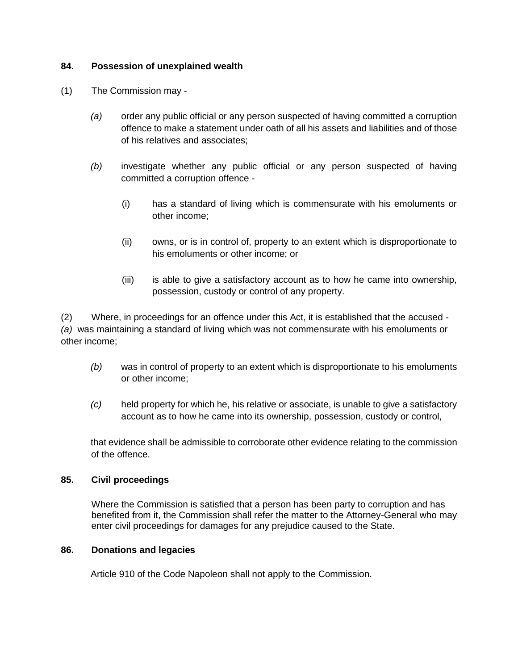# **84. Possession of unexplained wealth**

- (1) The Commission may
	- *(a)* order any public official or any person suspected of having committed a corruption offence to make a statement under oath of all his assets and liabilities and of those of his relatives and associates;
	- *(b)* investigate whether any public official or any person suspected of having committed a corruption offence -
		- (i) has a standard of living which is commensurate with his emoluments or other income;
		- (ii) owns, or is in control of, property to an extent which is disproportionate to his emoluments or other income; or
		- (iii) is able to give a satisfactory account as to how he came into ownership, possession, custody or control of any property.

(2) Where, in proceedings for an offence under this Act, it is established that the accused - *(a)* was maintaining a standard of living which was not commensurate with his emoluments or other income;

- *(b)* was in control of property to an extent which is disproportionate to his emoluments or other income;
- *(c)* held property for which he, his relative or associate, is unable to give a satisfactory account as to how he came into its ownership, possession, custody or control,

that evidence shall be admissible to corroborate other evidence relating to the commission of the offence.

# **85. Civil proceedings**

Where the Commission is satisfied that a person has been party to corruption and has benefited from it, the Commission shall refer the matter to the Attorney-General who may enter civil proceedings for damages for any prejudice caused to the State.

# **86. Donations and legacies**

Article 910 of the Code Napoleon shall not apply to the Commission.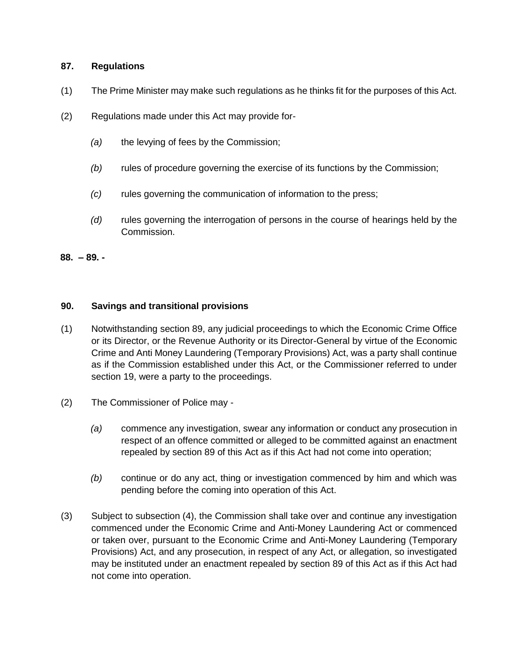#### **87. Regulations**

- (1) The Prime Minister may make such regulations as he thinks fit for the purposes of this Act.
- (2) Regulations made under this Act may provide for-
	- *(a)* the levying of fees by the Commission;
	- *(b)* rules of procedure governing the exercise of its functions by the Commission;
	- *(c)* rules governing the communication of information to the press;
	- *(d)* rules governing the interrogation of persons in the course of hearings held by the Commission.

**88. – 89. -**

# **90. Savings and transitional provisions**

- (1) Notwithstanding section 89, any judicial proceedings to which the Economic Crime Office or its Director, or the Revenue Authority or its Director-General by virtue of the Economic Crime and Anti Money Laundering (Temporary Provisions) Act, was a party shall continue as if the Commission established under this Act, or the Commissioner referred to under section 19, were a party to the proceedings.
- (2) The Commissioner of Police may
	- *(a)* commence any investigation, swear any information or conduct any prosecution in respect of an offence committed or alleged to be committed against an enactment repealed by section 89 of this Act as if this Act had not come into operation;
	- *(b)* continue or do any act, thing or investigation commenced by him and which was pending before the coming into operation of this Act.
- (3) Subject to subsection (4), the Commission shall take over and continue any investigation commenced under the Economic Crime and Anti-Money Laundering Act or commenced or taken over, pursuant to the Economic Crime and Anti-Money Laundering (Temporary Provisions) Act, and any prosecution, in respect of any Act, or allegation, so investigated may be instituted under an enactment repealed by section 89 of this Act as if this Act had not come into operation.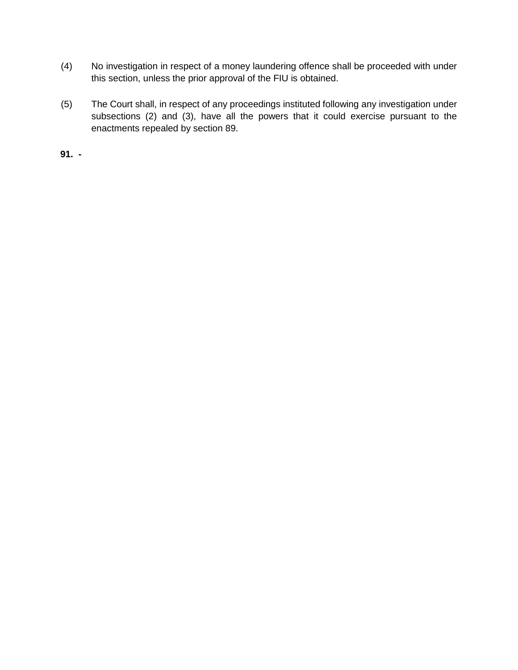- (4) No investigation in respect of a money laundering offence shall be proceeded with under this section, unless the prior approval of the FIU is obtained.
- (5) The Court shall, in respect of any proceedings instituted following any investigation under subsections (2) and (3), have all the powers that it could exercise pursuant to the enactments repealed by section 89.

**91. -**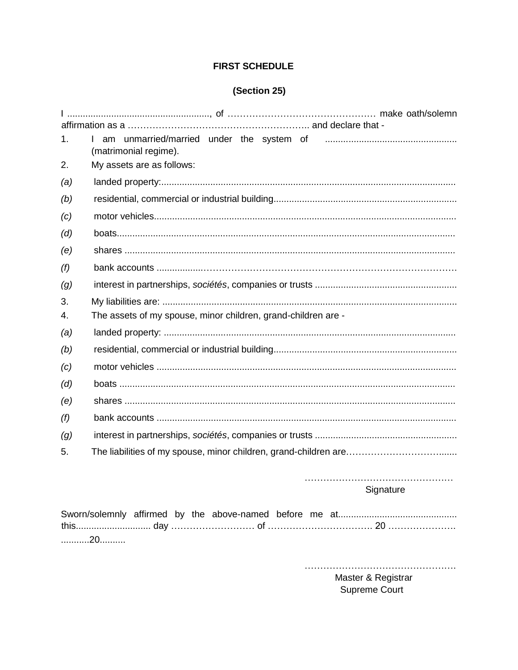# **FIRST SCHEDULE**

# (Section 25)

| 1.  | (matrimonial regime).                                            |  |  |  |  |  |  |  |
|-----|------------------------------------------------------------------|--|--|--|--|--|--|--|
| 2.  | My assets are as follows:                                        |  |  |  |  |  |  |  |
| (a) |                                                                  |  |  |  |  |  |  |  |
| (b) |                                                                  |  |  |  |  |  |  |  |
| (c) |                                                                  |  |  |  |  |  |  |  |
| (d) |                                                                  |  |  |  |  |  |  |  |
| (e) |                                                                  |  |  |  |  |  |  |  |
| (f) |                                                                  |  |  |  |  |  |  |  |
| (g) |                                                                  |  |  |  |  |  |  |  |
| 3.  |                                                                  |  |  |  |  |  |  |  |
| 4.  | The assets of my spouse, minor children, grand-children are -    |  |  |  |  |  |  |  |
| (a) |                                                                  |  |  |  |  |  |  |  |
| (b) |                                                                  |  |  |  |  |  |  |  |
| (c) |                                                                  |  |  |  |  |  |  |  |
| (d) |                                                                  |  |  |  |  |  |  |  |
| (e) |                                                                  |  |  |  |  |  |  |  |
| (f) |                                                                  |  |  |  |  |  |  |  |
| (g) |                                                                  |  |  |  |  |  |  |  |
| 5.  | The liabilities of my spouse, minor children, grand-children are |  |  |  |  |  |  |  |
|     |                                                                  |  |  |  |  |  |  |  |

Signature

| 20 |  |  |  |  |
|----|--|--|--|--|

Master & Registrar Supreme Court